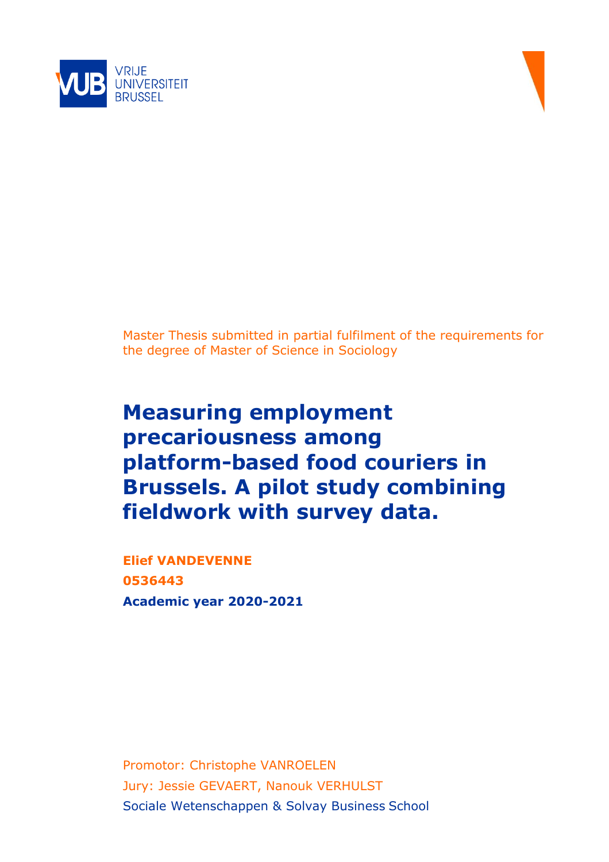



Master Thesis submitted in partial fulfilment of the requirements for the degree of Master of Science in Sociology

# **Measuring employment precariousness among platform-based food couriers in Brussels. A pilot study combining fieldwork with survey data.**

**Elief VANDEVENNE 0536443 Academic year 2020-2021**

Promotor: Christophe VANROELEN Jury: Jessie GEVAERT, Nanouk VERHULST Sociale Wetenschappen & Solvay Business School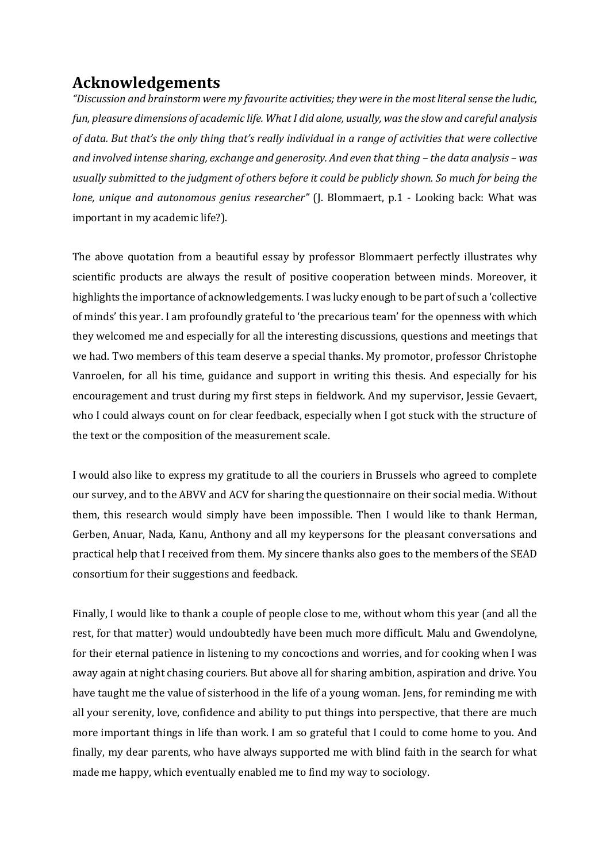## **Acknowledgements**

*"Discussion and brainstorm were my favourite activities; they were in the most literal sense the ludic, fun, pleasure dimensions of academic life. What I did alone, usually, was the slow and careful analysis of data. But that's the only thing that's really individual in a range of activities that were collective and involved intense sharing, exchange and generosity. And even that thing – the data analysis – was usually submitted to the judgment of others before it could be publicly shown. So much for being the lone, unique and autonomous genius researcher"* (J. Blommaert, p.1 - Looking back: What was important in my academic life?).

The above quotation from a beautiful essay by professor Blommaert perfectly illustrates why scientific products are always the result of positive cooperation between minds. Moreover, it highlights the importance of acknowledgements. I was lucky enough to be part of such a 'collective of minds' this year. I am profoundly grateful to 'the precarious team' for the openness with which they welcomed me and especially for all the interesting discussions, questions and meetings that we had. Two members of this team deserve a special thanks. My promotor, professor Christophe Vanroelen, for all his time, guidance and support in writing this thesis. And especially for his encouragement and trust during my first steps in fieldwork. And my supervisor, Jessie Gevaert, who I could always count on for clear feedback, especially when I got stuck with the structure of the text or the composition of the measurement scale.

I would also like to express my gratitude to all the couriers in Brussels who agreed to complete our survey, and to the ABVV and ACV for sharing the questionnaire on their social media. Without them, this research would simply have been impossible. Then I would like to thank Herman, Gerben, Anuar, Nada, Kanu, Anthony and all my keypersons for the pleasant conversations and practical help that I received from them. My sincere thanks also goes to the members of the SEAD consortium for their suggestions and feedback.

Finally, I would like to thank a couple of people close to me, without whom this year (and all the rest, for that matter) would undoubtedly have been much more difficult. Malu and Gwendolyne, for their eternal patience in listening to my concoctions and worries, and for cooking when I was away again at night chasing couriers. But above all for sharing ambition, aspiration and drive. You have taught me the value of sisterhood in the life of a young woman. Jens, for reminding me with all your serenity, love, confidence and ability to put things into perspective, that there are much more important things in life than work. I am so grateful that I could to come home to you. And finally, my dear parents, who have always supported me with blind faith in the search for what made me happy, which eventually enabled me to find my way to sociology.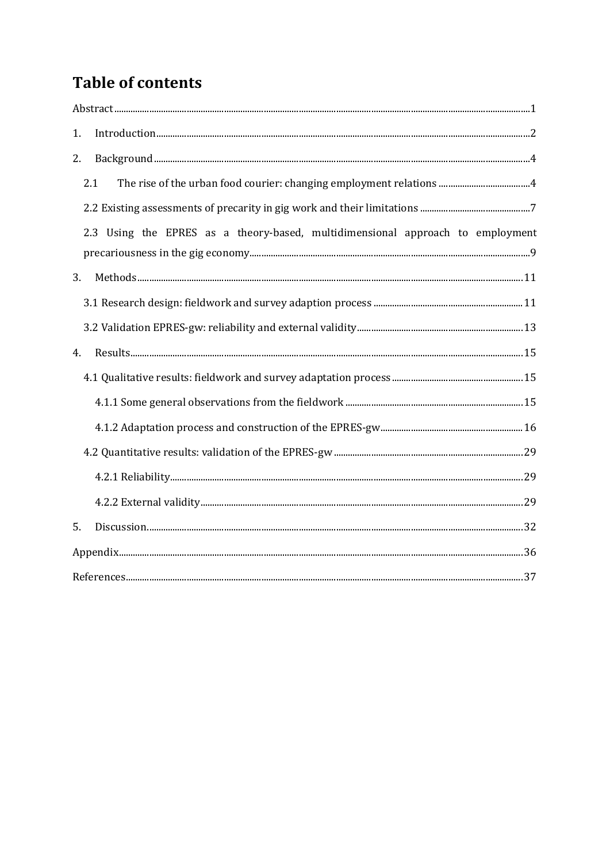## **Table of contents**

| 1. |                                                                                |  |
|----|--------------------------------------------------------------------------------|--|
| 2. |                                                                                |  |
|    | 2.1                                                                            |  |
|    |                                                                                |  |
|    | 2.3 Using the EPRES as a theory-based, multidimensional approach to employment |  |
| 3. |                                                                                |  |
|    |                                                                                |  |
|    |                                                                                |  |
| 4. |                                                                                |  |
|    |                                                                                |  |
|    |                                                                                |  |
|    |                                                                                |  |
|    |                                                                                |  |
|    |                                                                                |  |
|    |                                                                                |  |
| 5. |                                                                                |  |
|    |                                                                                |  |
|    |                                                                                |  |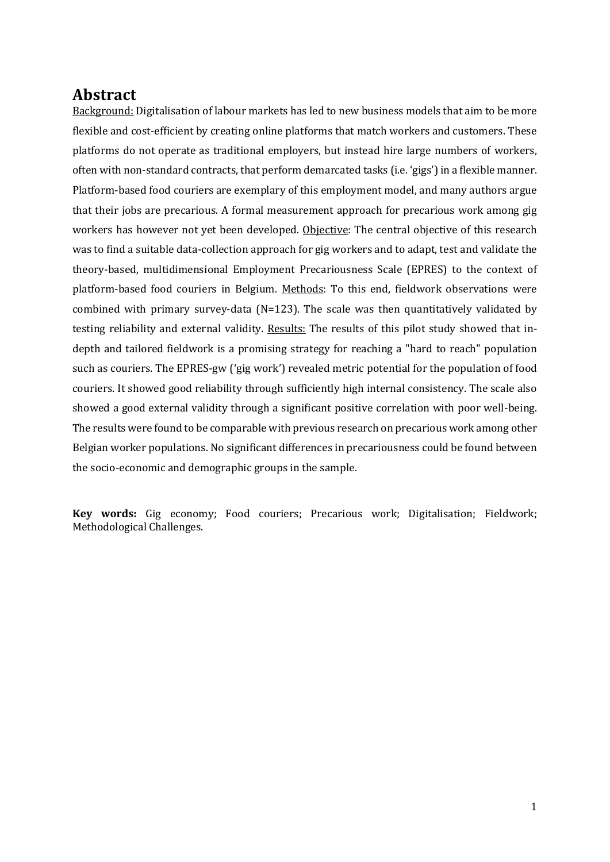### <span id="page-4-0"></span>**Abstract**

Background: Digitalisation of labour markets has led to new business models that aim to be more flexible and cost-efficient by creating online platforms that match workers and customers. These platforms do not operate as traditional employers, but instead hire large numbers of workers, often with non-standard contracts, that perform demarcated tasks (i.e. 'gigs') in a flexible manner. Platform-based food couriers are exemplary of this employment model, and many authors argue that their jobs are precarious. A formal measurement approach for precarious work among gig workers has however not yet been developed. Objective: The central objective of this research was to find a suitable data-collection approach for gig workers and to adapt, test and validate the theory-based, multidimensional Employment Precariousness Scale (EPRES) to the context of platform-based food couriers in Belgium. Methods: To this end, fieldwork observations were combined with primary survey-data ( $N=123$ ). The scale was then quantitatively validated by testing reliability and external validity. Results: The results of this pilot study showed that indepth and tailored fieldwork is a promising strategy for reaching a "hard to reach" population such as couriers. The EPRES-gw ('gig work') revealed metric potential for the population of food couriers. It showed good reliability through sufficiently high internal consistency. The scale also showed a good external validity through a significant positive correlation with poor well-being. The results were found to be comparable with previous research on precarious work among other Belgian worker populations. No significant differences in precariousness could be found between the socio-economic and demographic groups in the sample.

**Key words:** Gig economy; Food couriers; Precarious work; Digitalisation; Fieldwork; Methodological Challenges.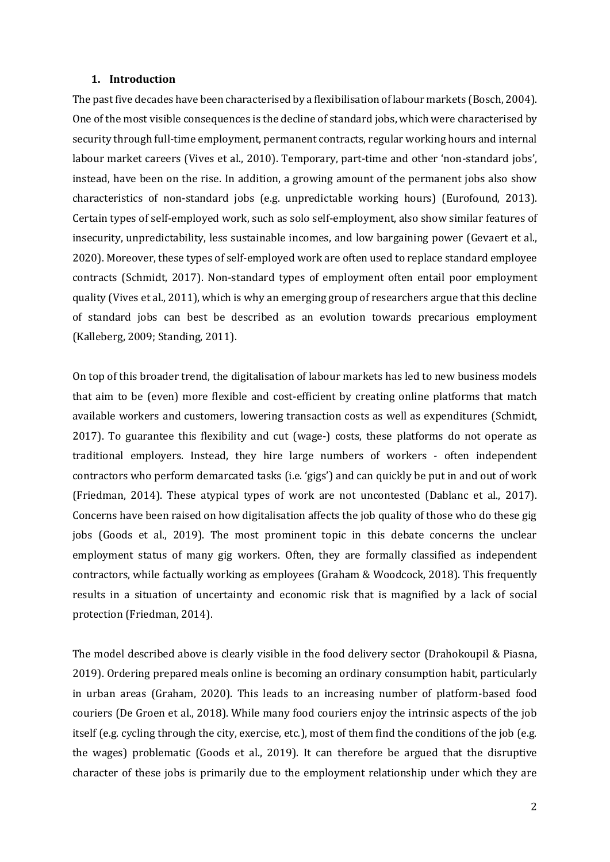#### <span id="page-5-0"></span>**1. Introduction**

The past five decades have been characterised by a flexibilisation of labour markets (Bosch, 2004). One of the most visible consequences is the decline of standard jobs, which were characterised by security through full-time employment, permanent contracts, regular working hours and internal labour market careers (Vives et al., 2010). Temporary, part-time and other 'non-standard jobs', instead, have been on the rise. In addition, a growing amount of the permanent jobs also show characteristics of non-standard jobs (e.g. unpredictable working hours) (Eurofound, 2013). Certain types of self-employed work, such as solo self-employment, also show similar features of insecurity, unpredictability, less sustainable incomes, and low bargaining power (Gevaert et al., 2020). Moreover, these types of self-employed work are often used to replace standard employee contracts (Schmidt, 2017). Non-standard types of employment often entail poor employment quality (Vives et al., 2011), which is why an emerging group of researchers argue that this decline of standard jobs can best be described as an evolution towards precarious employment (Kalleberg, 2009; Standing, 2011).

On top of this broader trend, the digitalisation of labour markets has led to new business models that aim to be (even) more flexible and cost-efficient by creating online platforms that match available workers and customers, lowering transaction costs as well as expenditures (Schmidt, 2017). To guarantee this flexibility and cut (wage-) costs, these platforms do not operate as traditional employers. Instead, they hire large numbers of workers - often independent contractors who perform demarcated tasks (i.e. 'gigs') and can quickly be put in and out of work (Friedman, 2014). These atypical types of work are not uncontested (Dablanc et al., 2017). Concerns have been raised on how digitalisation affects the job quality of those who do these gig jobs (Goods et al., 2019). The most prominent topic in this debate concerns the unclear employment status of many gig workers. Often, they are formally classified as independent contractors, while factually working as employees (Graham & Woodcock, 2018). This frequently results in a situation of uncertainty and economic risk that is magnified by a lack of social protection (Friedman, 2014).

The model described above is clearly visible in the food delivery sector (Drahokoupil & Piasna, 2019). Ordering prepared meals online is becoming an ordinary consumption habit, particularly in urban areas (Graham, 2020). This leads to an increasing number of platform-based food couriers (De Groen et al., 2018). While many food couriers enjoy the intrinsic aspects of the job itself (e.g. cycling through the city, exercise, etc.), most of them find the conditions of the job (e.g. the wages) problematic (Goods et al., 2019). It can therefore be argued that the disruptive character of these jobs is primarily due to the employment relationship under which they are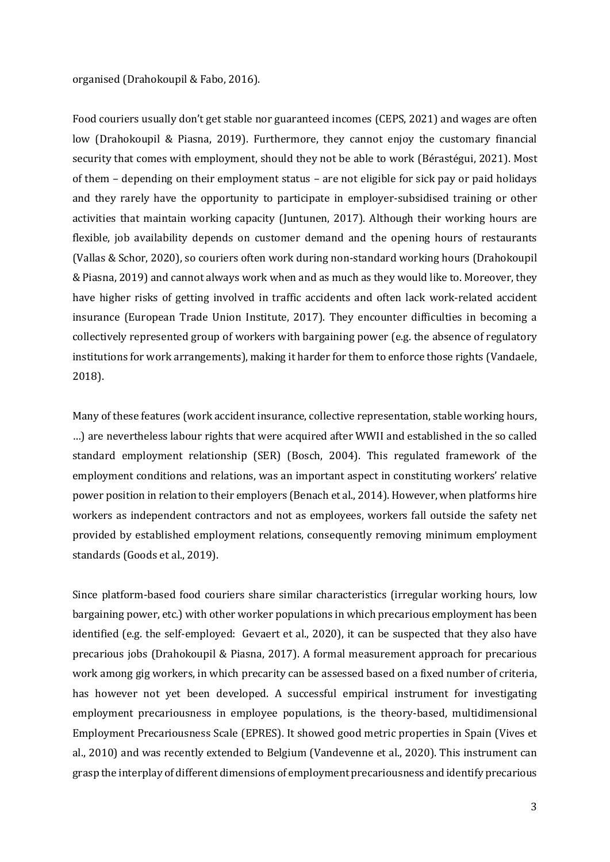#### organised (Drahokoupil & Fabo, 2016).

Food couriers usually don't get stable nor guaranteed incomes (CEPS, 2021) and wages are often low (Drahokoupil & Piasna, 2019). Furthermore, they cannot enjoy the customary financial security that comes with employment, should they not be able to work (Bérastégui, 2021). Most of them – depending on their employment status – are not eligible for sick pay or paid holidays and they rarely have the opportunity to participate in employer-subsidised training or other activities that maintain working capacity (Juntunen, 2017). Although their working hours are flexible, job availability depends on customer demand and the opening hours of restaurants (Vallas & Schor, 2020), so couriers often work during non-standard working hours (Drahokoupil & Piasna, 2019) and cannot always work when and as much as they would like to. Moreover, they have higher risks of getting involved in traffic accidents and often lack work-related accident insurance (European Trade Union Institute, 2017). They encounter difficulties in becoming a collectively represented group of workers with bargaining power (e.g. the absence of regulatory institutions for work arrangements), making it harder for them to enforce those rights (Vandaele, 2018).

Many of these features (work accident insurance, collective representation, stable working hours, …) are nevertheless labour rights that were acquired after WWII and established in the so called standard employment relationship (SER) (Bosch, 2004). This regulated framework of the employment conditions and relations, was an important aspect in constituting workers' relative power position in relation to their employers (Benach et al., 2014). However, when platforms hire workers as independent contractors and not as employees, workers fall outside the safety net provided by established employment relations, consequently removing minimum employment standards (Goods et al., 2019).

Since platform-based food couriers share similar characteristics (irregular working hours, low bargaining power, etc.) with other worker populations in which precarious employment has been identified (e.g. the self-employed: Gevaert et al., 2020), it can be suspected that they also have precarious jobs (Drahokoupil & Piasna, 2017). A formal measurement approach for precarious work among gig workers, in which precarity can be assessed based on a fixed number of criteria, has however not yet been developed. A successful empirical instrument for investigating employment precariousness in employee populations, is the theory-based, multidimensional Employment Precariousness Scale (EPRES). It showed good metric properties in Spain (Vives et al., 2010) and was recently extended to Belgium (Vandevenne et al., 2020). This instrument can grasp the interplay of different dimensions of employment precariousness and identify precarious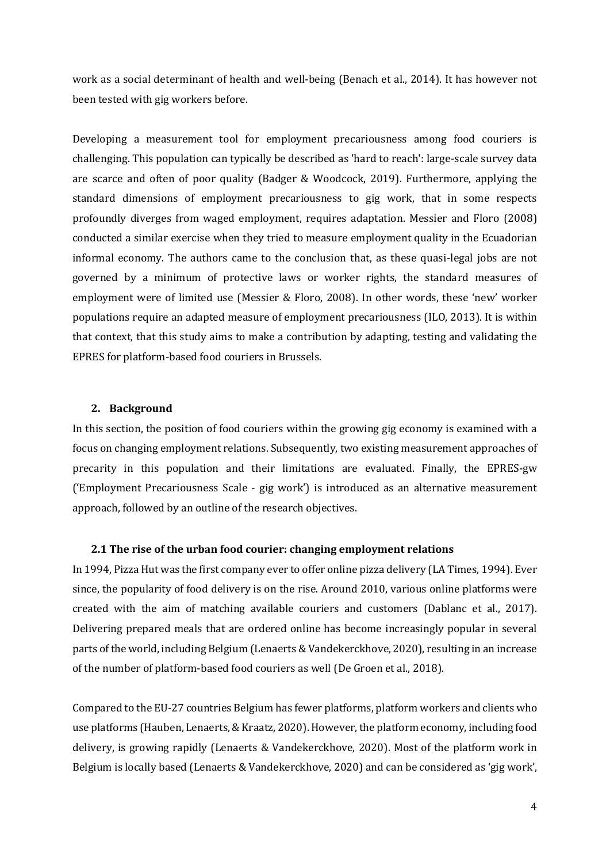work as a social determinant of health and well-being (Benach et al., 2014). It has however not been tested with gig workers before.

Developing a measurement tool for employment precariousness among food couriers is challenging. This population can typically be described as 'hard to reach': large-scale survey data are scarce and often of poor quality (Badger & Woodcock, 2019). Furthermore, applying the standard dimensions of employment precariousness to gig work, that in some respects profoundly diverges from waged employment, requires adaptation. Messier and Floro (2008) conducted a similar exercise when they tried to measure employment quality in the Ecuadorian informal economy. The authors came to the conclusion that, as these quasi-legal jobs are not governed by a minimum of protective laws or worker rights, the standard measures of employment were of limited use (Messier & Floro, 2008). In other words, these 'new' worker populations require an adapted measure of employment precariousness (ILO, 2013). It is within that context, that this study aims to make a contribution by adapting, testing and validating the EPRES for platform-based food couriers in Brussels.

#### <span id="page-7-0"></span>**2. Background**

In this section, the position of food couriers within the growing gig economy is examined with a focus on changing employment relations. Subsequently, two existing measurement approaches of precarity in this population and their limitations are evaluated. Finally, the EPRES-gw ('Employment Precariousness Scale - gig work') is introduced as an alternative measurement approach, followed by an outline of the research objectives.

#### <span id="page-7-1"></span>**2.1 The rise of the urban food courier: changing employment relations**

In 1994, Pizza Hut was the first company ever to offer online pizza delivery (LA Times, 1994). Ever since, the popularity of food delivery is on the rise. Around 2010, various online platforms were created with the aim of matching available couriers and customers (Dablanc et al., 2017). Delivering prepared meals that are ordered online has become increasingly popular in several parts of the world, including Belgium (Lenaerts & Vandekerckhove, 2020), resulting in an increase of the number of platform-based food couriers as well (De Groen et al., 2018).

Compared to the EU-27 countries Belgium has fewer platforms, platform workers and clients who use platforms (Hauben, Lenaerts, & Kraatz, 2020). However, the platform economy, including food delivery, is growing rapidly (Lenaerts & Vandekerckhove, 2020). Most of the platform work in Belgium is locally based (Lenaerts & Vandekerckhove, 2020) and can be considered as 'gig work',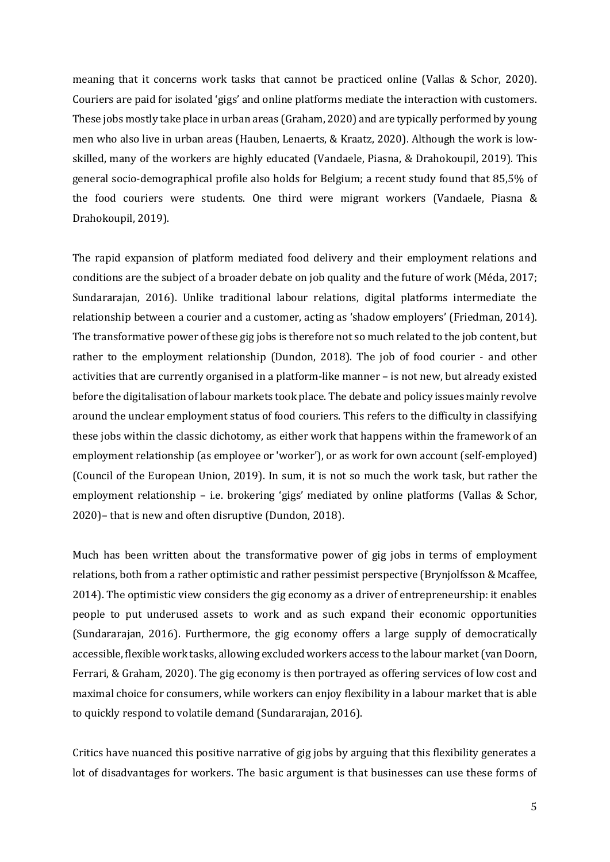meaning that it concerns work tasks that cannot be practiced online (Vallas & Schor, 2020). Couriers are paid for isolated 'gigs' and online platforms mediate the interaction with customers. These jobs mostly take place in urban areas (Graham, 2020) and are typically performed by young men who also live in urban areas (Hauben, Lenaerts, & Kraatz, 2020). Although the work is lowskilled, many of the workers are highly educated (Vandaele, Piasna, & Drahokoupil, 2019). This general socio-demographical profile also holds for Belgium; a recent study found that 85,5% of the food couriers were students. One third were migrant workers (Vandaele, Piasna & Drahokoupil, 2019).

The rapid expansion of platform mediated food delivery and their employment relations and conditions are the subject of a broader debate on job quality and the future of work (Méda, 2017; Sundararajan, 2016). Unlike traditional labour relations, digital platforms intermediate the relationship between a courier and a customer, acting as 'shadow employers' (Friedman, 2014). The transformative power of these gig jobs is therefore not so much related to the job content, but rather to the employment relationship (Dundon, 2018). The job of food courier - and other activities that are currently organised in a platform-like manner – is not new, but already existed before the digitalisation of labour markets took place. The debate and policy issues mainly revolve around the unclear employment status of food couriers. This refers to the difficulty in classifying these jobs within the classic dichotomy, as either work that happens within the framework of an employment relationship (as employee or 'worker'), or as work for own account (self-employed) (Council of the European Union, 2019). In sum, it is not so much the work task, but rather the employment relationship – i.e. brokering 'gigs' mediated by online platforms (Vallas & Schor, 2020)– that is new and often disruptive (Dundon, 2018).

Much has been written about the transformative power of gig jobs in terms of employment relations, both from a rather optimistic and rather pessimist perspective (Brynjolfsson & Mcaffee, 2014). The optimistic view considers the gig economy as a driver of entrepreneurship: it enables people to put underused assets to work and as such expand their economic opportunities (Sundararajan, 2016). Furthermore, the gig economy offers a large supply of democratically accessible, flexible work tasks, allowing excluded workers access to the labour market (van Doorn, Ferrari, & Graham, 2020). The gig economy is then portrayed as offering services of low cost and maximal choice for consumers, while workers can enjoy flexibility in a labour market that is able to quickly respond to volatile demand (Sundararajan, 2016).

Critics have nuanced this positive narrative of gig jobs by arguing that this flexibility generates a lot of disadvantages for workers. The basic argument is that businesses can use these forms of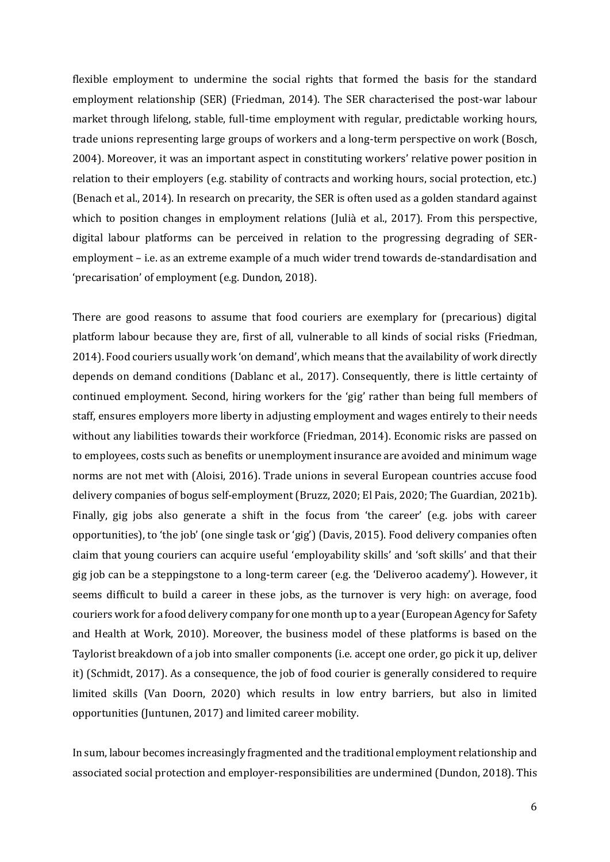flexible employment to undermine the social rights that formed the basis for the standard employment relationship (SER) (Friedman, 2014). The SER characterised the post-war labour market through lifelong, stable, full-time employment with regular, predictable working hours, trade unions representing large groups of workers and a long-term perspective on work (Bosch, 2004). Moreover, it was an important aspect in constituting workers' relative power position in relation to their employers (e.g. stability of contracts and working hours, social protection, etc.) (Benach et al., 2014). In research on precarity, the SER is often used as a golden standard against which to position changes in employment relations (Julià et al., 2017). From this perspective, digital labour platforms can be perceived in relation to the progressing degrading of SERemployment – i.e. as an extreme example of a much wider trend towards de-standardisation and 'precarisation' of employment (e.g. Dundon, 2018).

There are good reasons to assume that food couriers are exemplary for (precarious) digital platform labour because they are, first of all, vulnerable to all kinds of social risks (Friedman, 2014). Food couriers usually work 'on demand', which means that the availability of work directly depends on demand conditions (Dablanc et al., 2017). Consequently, there is little certainty of continued employment. Second, hiring workers for the 'gig' rather than being full members of staff, ensures employers more liberty in adjusting employment and wages entirely to their needs without any liabilities towards their workforce (Friedman, 2014). Economic risks are passed on to employees, costs such as benefits or unemployment insurance are avoided and minimum wage norms are not met with (Aloisi, 2016). Trade unions in several European countries accuse food delivery companies of bogus self-employment (Bruzz, 2020; El Pais, 2020; The Guardian, 2021b). Finally, gig jobs also generate a shift in the focus from 'the career' (e.g. jobs with career opportunities), to 'the job' (one single task or 'gig') (Davis, 2015). Food delivery companies often claim that young couriers can acquire useful 'employability skills' and 'soft skills' and that their gig job can be a steppingstone to a long-term career (e.g. the 'Deliveroo academy'). However, it seems difficult to build a career in these jobs, as the turnover is very high: on average, food couriers work for a food delivery company for one month up to a year (European Agency for Safety and Health at Work, 2010). Moreover, the business model of these platforms is based on the Taylorist breakdown of a job into smaller components (i.e. accept one order, go pick it up, deliver it) (Schmidt, 2017). As a consequence, the job of food courier is generally considered to require limited skills (Van Doorn, 2020) which results in low entry barriers, but also in limited opportunities (Juntunen, 2017) and limited career mobility.

In sum, labour becomes increasingly fragmented and the traditional employment relationship and associated social protection and employer-responsibilities are undermined (Dundon, 2018). This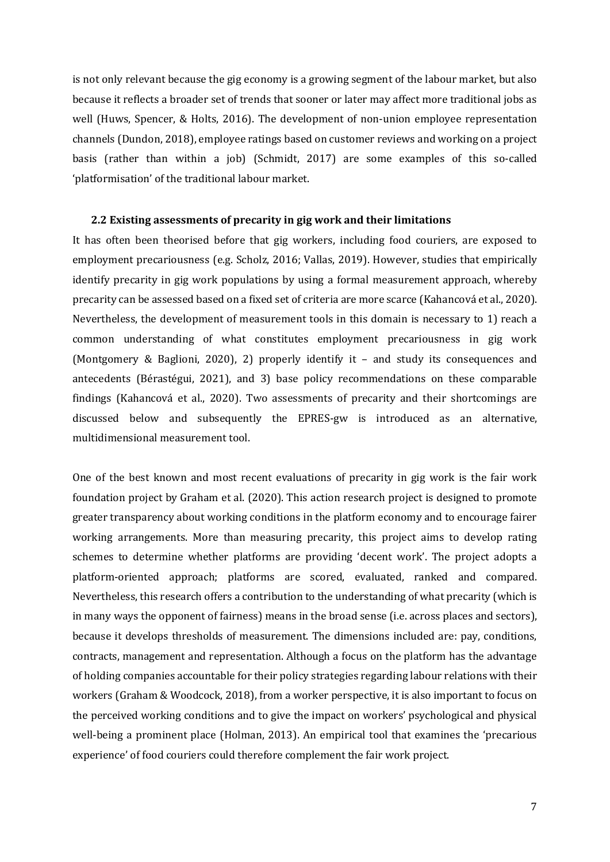is not only relevant because the gig economy is a growing segment of the labour market, but also because it reflects a broader set of trends that sooner or later may affect more traditional jobs as well (Huws, Spencer, & Holts, 2016). The development of non-union employee representation channels (Dundon, 2018), employee ratings based on customer reviews and working on a project basis (rather than within a job) (Schmidt, 2017) are some examples of this so-called 'platformisation' of the traditional labour market.

#### <span id="page-10-0"></span>**2.2 Existing assessments of precarity in gig work and their limitations**

It has often been theorised before that gig workers, including food couriers, are exposed to employment precariousness (e.g. Scholz, 2016; Vallas, 2019). However, studies that empirically identify precarity in gig work populations by using a formal measurement approach, whereby precarity can be assessed based on a fixed set of criteria are more scarce (Kahancová et al., 2020). Nevertheless, the development of measurement tools in this domain is necessary to 1) reach a common understanding of what constitutes employment precariousness in gig work (Montgomery & Baglioni, 2020), 2) properly identify it – and study its consequences and antecedents (Bérastégui, 2021), and 3) base policy recommendations on these comparable findings (Kahancová et al., 2020). Two assessments of precarity and their shortcomings are discussed below and subsequently the EPRES-gw is introduced as an alternative, multidimensional measurement tool.

One of the best known and most recent evaluations of precarity in gig work is the fair work foundation project by Graham et al. (2020). This action research project is designed to promote greater transparency about working conditions in the platform economy and to encourage fairer working arrangements. More than measuring precarity, this project aims to develop rating schemes to determine whether platforms are providing 'decent work'. The project adopts a platform-oriented approach; platforms are scored, evaluated, ranked and compared. Nevertheless, this research offers a contribution to the understanding of what precarity (which is in many ways the opponent of fairness) means in the broad sense (i.e. across places and sectors), because it develops thresholds of measurement. The dimensions included are: pay, conditions, contracts, management and representation. Although a focus on the platform has the advantage of holding companies accountable for their policy strategies regarding labour relations with their workers (Graham & Woodcock, 2018), from a worker perspective, it is also important to focus on the perceived working conditions and to give the impact on workers' psychological and physical well-being a prominent place (Holman, 2013). An empirical tool that examines the 'precarious experience' of food couriers could therefore complement the fair work project.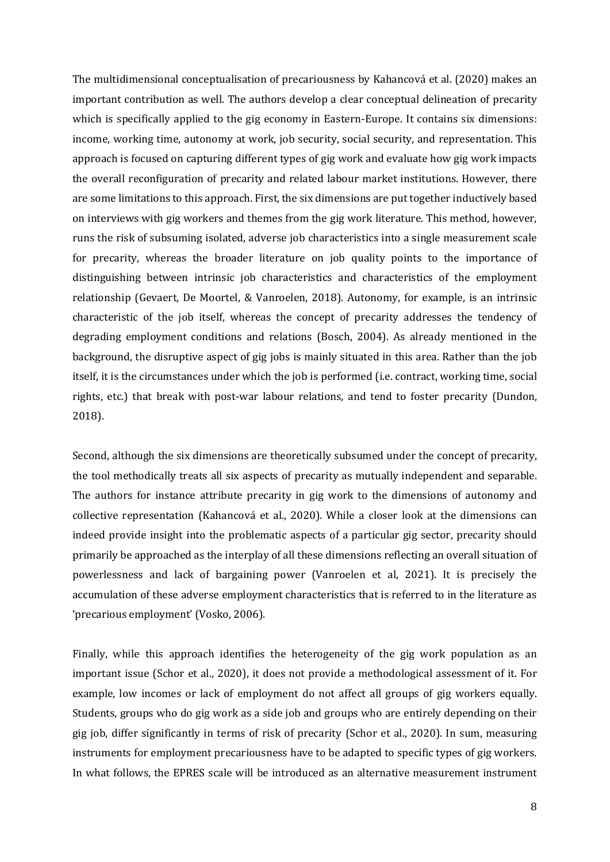The multidimensional conceptualisation of precariousness by Kahancová et al. (2020) makes an important contribution as well. The authors develop a clear conceptual delineation of precarity which is specifically applied to the gig economy in Eastern-Europe. It contains six dimensions: income, working time, autonomy at work, job security, social security, and representation. This approach is focused on capturing different types of gig work and evaluate how gig work impacts the overall reconfiguration of precarity and related labour market institutions. However, there are some limitations to this approach. First, the six dimensions are put together inductively based on interviews with gig workers and themes from the gig work literature. This method, however, runs the risk of subsuming isolated, adverse job characteristics into a single measurement scale for precarity, whereas the broader literature on job quality points to the importance of distinguishing between intrinsic job characteristics and characteristics of the employment relationship (Gevaert, De Moortel, & Vanroelen, 2018). Autonomy, for example, is an intrinsic characteristic of the job itself, whereas the concept of precarity addresses the tendency of degrading employment conditions and relations (Bosch, 2004). As already mentioned in the background, the disruptive aspect of gig jobs is mainly situated in this area. Rather than the job itself, it is the circumstances under which the job is performed (i.e. contract, working time, social rights, etc.) that break with post-war labour relations, and tend to foster precarity (Dundon, 2018).

Second, although the six dimensions are theoretically subsumed under the concept of precarity, the tool methodically treats all six aspects of precarity as mutually independent and separable. The authors for instance attribute precarity in gig work to the dimensions of autonomy and collective representation (Kahancová et al., 2020). While a closer look at the dimensions can indeed provide insight into the problematic aspects of a particular gig sector, precarity should primarily be approached as the interplay of all these dimensions reflecting an overall situation of powerlessness and lack of bargaining power (Vanroelen et al, 2021). It is precisely the accumulation of these adverse employment characteristics that is referred to in the literature as 'precarious employment' (Vosko, 2006).

Finally, while this approach identifies the heterogeneity of the gig work population as an important issue (Schor et al., 2020), it does not provide a methodological assessment of it. For example, low incomes or lack of employment do not affect all groups of gig workers equally. Students, groups who do gig work as a side job and groups who are entirely depending on their gig job, differ significantly in terms of risk of precarity (Schor et al., 2020). In sum, measuring instruments for employment precariousness have to be adapted to specific types of gig workers. In what follows, the EPRES scale will be introduced as an alternative measurement instrument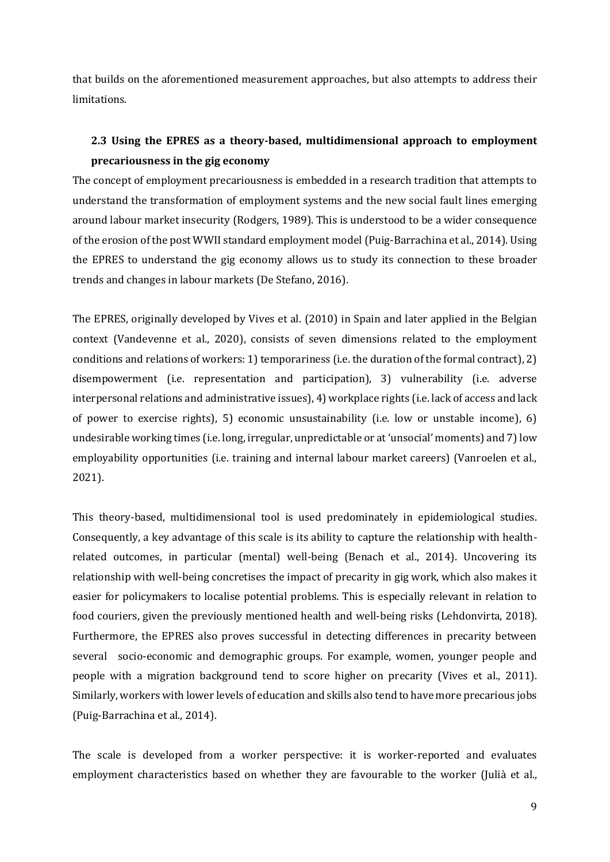that builds on the aforementioned measurement approaches, but also attempts to address their limitations.

### <span id="page-12-0"></span>**2.3 Using the EPRES as a theory-based, multidimensional approach to employment precariousness in the gig economy**

The concept of employment precariousness is embedded in a research tradition that attempts to understand the transformation of employment systems and the new social fault lines emerging around labour market insecurity (Rodgers, 1989). This is understood to be a wider consequence of the erosion of the post WWII standard employment model (Puig-Barrachina et al., 2014). Using the EPRES to understand the gig economy allows us to study its connection to these broader trends and changes in labour markets (De Stefano, 2016).

The EPRES, originally developed by Vives et al. (2010) in Spain and later applied in the Belgian context (Vandevenne et al., 2020), consists of seven dimensions related to the employment conditions and relations of workers: 1) temporariness (i.e. the duration of the formal contract), 2) disempowerment (i.e. representation and participation), 3) vulnerability (i.e. adverse interpersonal relations and administrative issues), 4) workplace rights (i.e. lack of access and lack of power to exercise rights), 5) economic unsustainability (i.e. low or unstable income), 6) undesirable working times (i.e. long, irregular, unpredictable or at 'unsocial' moments) and 7) low employability opportunities (i.e. training and internal labour market careers) (Vanroelen et al., 2021).

This theory-based, multidimensional tool is used predominately in epidemiological studies. Consequently, a key advantage of this scale is its ability to capture the relationship with healthrelated outcomes, in particular (mental) well-being (Benach et al., 2014). Uncovering its relationship with well-being concretises the impact of precarity in gig work, which also makes it easier for policymakers to localise potential problems. This is especially relevant in relation to food couriers, given the previously mentioned health and well-being risks (Lehdonvirta, 2018). Furthermore, the EPRES also proves successful in detecting differences in precarity between several socio-economic and demographic groups. For example, women, younger people and people with a migration background tend to score higher on precarity (Vives et al., 2011). Similarly, workers with lower levels of education and skills also tend to have more precarious jobs (Puig-Barrachina et al., 2014).

The scale is developed from a worker perspective: it is worker-reported and evaluates employment characteristics based on whether they are favourable to the worker (Julià et al.,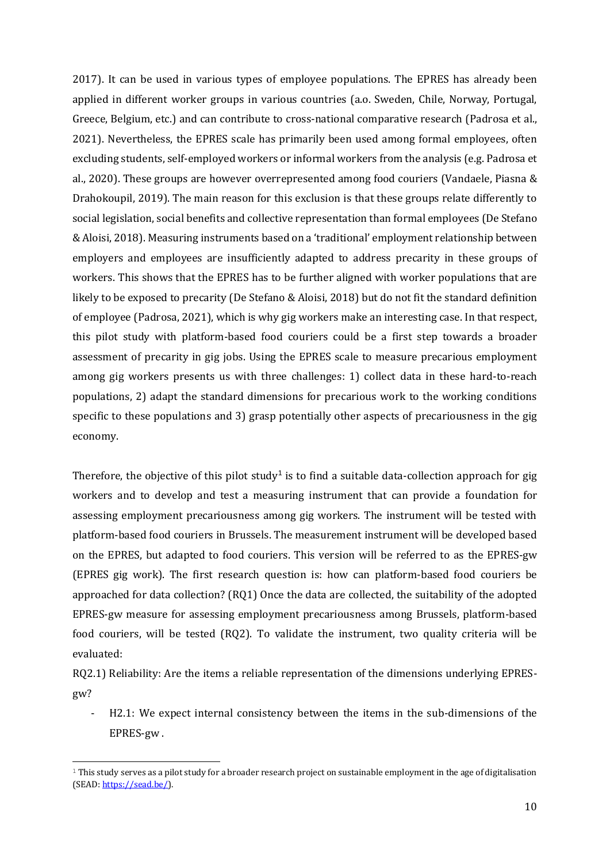2017). It can be used in various types of employee populations. The EPRES has already been applied in different worker groups in various countries (a.o. Sweden, Chile, Norway, Portugal, Greece, Belgium, etc.) and can contribute to cross-national comparative research (Padrosa et al., 2021). Nevertheless, the EPRES scale has primarily been used among formal employees, often excluding students, self-employed workers or informal workers from the analysis (e.g. Padrosa et al., 2020). These groups are however overrepresented among food couriers (Vandaele, Piasna & Drahokoupil, 2019). The main reason for this exclusion is that these groups relate differently to social legislation, social benefits and collective representation than formal employees (De Stefano & Aloisi, 2018). Measuring instruments based on a 'traditional' employment relationship between employers and employees are insufficiently adapted to address precarity in these groups of workers. This shows that the EPRES has to be further aligned with worker populations that are likely to be exposed to precarity (De Stefano & Aloisi, 2018) but do not fit the standard definition of employee (Padrosa, 2021), which is why gig workers make an interesting case. In that respect, this pilot study with platform-based food couriers could be a first step towards a broader assessment of precarity in gig jobs. Using the EPRES scale to measure precarious employment among gig workers presents us with three challenges: 1) collect data in these hard-to-reach populations, 2) adapt the standard dimensions for precarious work to the working conditions specific to these populations and 3) grasp potentially other aspects of precariousness in the gig economy.

Therefore, the objective of this pilot study<sup>1</sup> is to find a suitable data-collection approach for gig workers and to develop and test a measuring instrument that can provide a foundation for assessing employment precariousness among gig workers. The instrument will be tested with platform-based food couriers in Brussels. The measurement instrument will be developed based on the EPRES, but adapted to food couriers. This version will be referred to as the EPRES-gw (EPRES gig work). The first research question is: how can platform-based food couriers be approached for data collection? (RQ1) Once the data are collected, the suitability of the adopted EPRES-gw measure for assessing employment precariousness among Brussels, platform-based food couriers, will be tested (RQ2). To validate the instrument, two quality criteria will be evaluated:

RQ2.1) Reliability: Are the items a reliable representation of the dimensions underlying EPRESgw?

- H2.1: We expect internal consistency between the items in the sub-dimensions of the EPRES-gw .

 $1$  This study serves as a pilot study for a broader research project on sustainable employment in the age of digitalisation (SEAD: [https://sead.be/\)](https://sead.be/).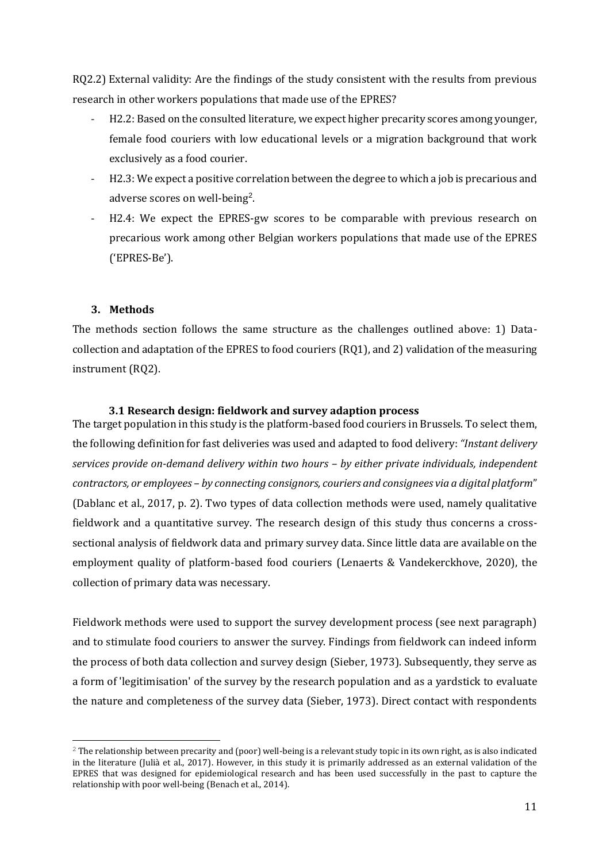RQ2.2) External validity: Are the findings of the study consistent with the results from previous research in other workers populations that made use of the EPRES?

- H2.2: Based on the consulted literature, we expect higher precarity scores among younger, female food couriers with low educational levels or a migration background that work exclusively as a food courier.
- H2.3: We expect a positive correlation between the degree to which a job is precarious and adverse scores on well-being<sup>2</sup>.
- H2.4: We expect the EPRES-gw scores to be comparable with previous research on precarious work among other Belgian workers populations that made use of the EPRES ('EPRES-Be').

#### <span id="page-14-0"></span>**3. Methods**

The methods section follows the same structure as the challenges outlined above: 1) Datacollection and adaptation of the EPRES to food couriers (RQ1), and 2) validation of the measuring instrument (RQ2).

#### **3.1 Research design: fieldwork and survey adaption process**

<span id="page-14-1"></span>The target population in this study is the platform-based food couriers in Brussels. To select them, the following definition for fast deliveries was used and adapted to food delivery: *"Instant delivery services provide on-demand delivery within two hours – by either private individuals, independent contractors, or employees – by connecting consignors, couriers and consignees via a digital platform*" (Dablanc et al., 2017, p. 2). Two types of data collection methods were used, namely qualitative fieldwork and a quantitative survey. The research design of this study thus concerns a crosssectional analysis of fieldwork data and primary survey data. Since little data are available on the employment quality of platform-based food couriers (Lenaerts & Vandekerckhove, 2020), the collection of primary data was necessary.

Fieldwork methods were used to support the survey development process (see next paragraph) and to stimulate food couriers to answer the survey. Findings from fieldwork can indeed inform the process of both data collection and survey design (Sieber, 1973). Subsequently, they serve as a form of 'legitimisation' of the survey by the research population and as a yardstick to evaluate the nature and completeness of the survey data (Sieber, 1973). Direct contact with respondents

 $2$  The relationship between precarity and (poor) well-being is a relevant study topic in its own right, as is also indicated in the literature (Julià et al., 2017). However, in this study it is primarily addressed as an external validation of the EPRES that was designed for epidemiological research and has been used successfully in the past to capture the relationship with poor well-being (Benach et al., 2014).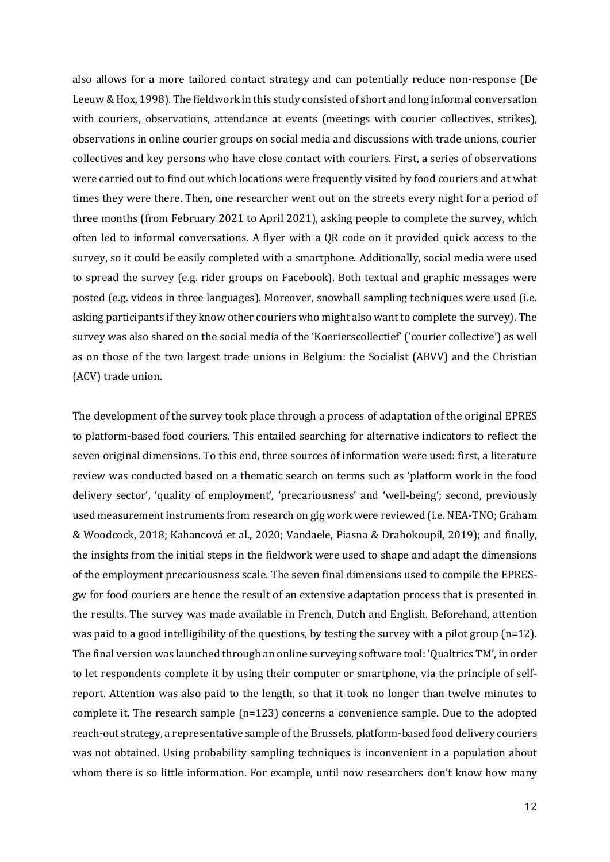also allows for a more tailored contact strategy and can potentially reduce non-response (De Leeuw & Hox, 1998). The fieldwork in this study consisted of short and long informal conversation with couriers, observations, attendance at events (meetings with courier collectives, strikes), observations in online courier groups on social media and discussions with trade unions, courier collectives and key persons who have close contact with couriers. First, a series of observations were carried out to find out which locations were frequently visited by food couriers and at what times they were there. Then, one researcher went out on the streets every night for a period of three months (from February 2021 to April 2021), asking people to complete the survey, which often led to informal conversations. A flyer with a QR code on it provided quick access to the survey, so it could be easily completed with a smartphone. Additionally, social media were used to spread the survey (e.g. rider groups on Facebook). Both textual and graphic messages were posted (e.g. videos in three languages). Moreover, snowball sampling techniques were used (i.e. asking participants if they know other couriers who might also want to complete the survey). The survey was also shared on the social media of the 'Koerierscollectief' ('courier collective') as well as on those of the two largest trade unions in Belgium: the Socialist (ABVV) and the Christian (ACV) trade union.

The development of the survey took place through a process of adaptation of the original EPRES to platform-based food couriers. This entailed searching for alternative indicators to reflect the seven original dimensions. To this end, three sources of information were used: first, a literature review was conducted based on a thematic search on terms such as 'platform work in the food delivery sector', 'quality of employment', 'precariousness' and 'well-being'; second, previously used measurement instruments from research on gig work were reviewed (i.e. NEA-TNO; Graham & Woodcock, 2018; Kahancová et al., 2020; Vandaele, Piasna & Drahokoupil, 2019); and finally, the insights from the initial steps in the fieldwork were used to shape and adapt the dimensions of the employment precariousness scale. The seven final dimensions used to compile the EPRESgw for food couriers are hence the result of an extensive adaptation process that is presented in the results. The survey was made available in French, Dutch and English. Beforehand, attention was paid to a good intelligibility of the questions, by testing the survey with a pilot group ( $n=12$ ). The final version was launched through an online surveying software tool: 'Qualtrics TM', in order to let respondents complete it by using their computer or smartphone, via the principle of selfreport. Attention was also paid to the length, so that it took no longer than twelve minutes to complete it. The research sample (n=123) concerns a convenience sample. Due to the adopted reach-out strategy, a representative sample of the Brussels, platform-based food delivery couriers was not obtained. Using probability sampling techniques is inconvenient in a population about whom there is so little information. For example, until now researchers don't know how many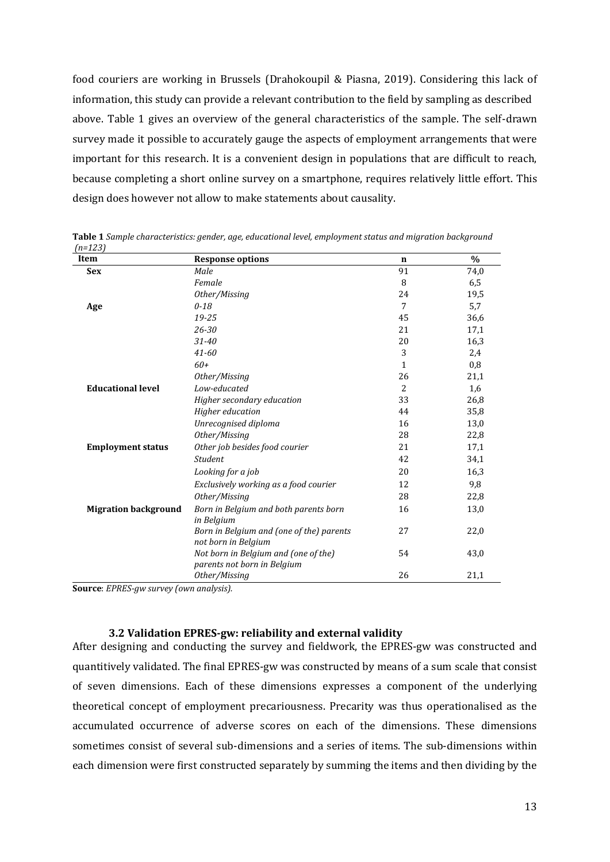food couriers are working in Brussels (Drahokoupil & Piasna, 2019). Considering this lack of information, this study can provide a relevant contribution to the field by sampling as described above. Table 1 gives an overview of the general characteristics of the sample. The self-drawn survey made it possible to accurately gauge the aspects of employment arrangements that were important for this research. It is a convenient design in populations that are difficult to reach, because completing a short online survey on a smartphone, requires relatively little effort. This design does however not allow to make statements about causality.

|                                                                                          | 74,0 |
|------------------------------------------------------------------------------------------|------|
| 91<br><b>Sex</b><br>Male                                                                 |      |
| 8<br>Female                                                                              | 6,5  |
| Other/Missing<br>24                                                                      | 19,5 |
| 7<br>$0 - 18$<br>Age                                                                     | 5,7  |
| 19-25<br>45                                                                              | 36,6 |
| 21<br>26-30                                                                              | 17,1 |
| 20<br>$31 - 40$                                                                          | 16,3 |
| 3<br>$41 - 60$                                                                           | 2,4  |
| $60+$<br>$\mathbf{1}$                                                                    | 0,8  |
| 26<br>Other/Missing                                                                      | 21,1 |
| <b>Educational level</b><br>Low-educated<br>$\overline{c}$                               | 1,6  |
| Higher secondary education<br>33                                                         | 26,8 |
| Higher education<br>44                                                                   | 35,8 |
| Unrecognised diploma<br>16                                                               | 13,0 |
| Other/Missing<br>28                                                                      | 22,8 |
| Other job besides food courier<br>21<br><b>Employment status</b>                         | 17,1 |
| <b>Student</b><br>42                                                                     | 34,1 |
| 20<br>Looking for a job                                                                  | 16,3 |
| 12<br>Exclusively working as a food courier                                              | 9,8  |
| Other/Missing<br>28                                                                      | 22,8 |
| <b>Migration background</b><br>Born in Belgium and both parents born<br>16<br>in Belgium | 13,0 |
| Born in Belgium and (one of the) parents<br>27<br>not born in Belgium                    | 22,0 |
| Not born in Belgium and (one of the)<br>54<br>parents not born in Belgium                | 43,0 |
| 26<br>Other/Missing                                                                      | 21,1 |

**Table 1** *Sample characteristics: gender, age, educational level, employment status and migration background (n=123)*

**Source**: *EPRES-gw survey (own analysis).*

#### **3.2 Validation EPRES-gw: reliability and external validity**

<span id="page-16-0"></span>After designing and conducting the survey and fieldwork, the EPRES-gw was constructed and quantitively validated. The final EPRES-gw was constructed by means of a sum scale that consist of seven dimensions. Each of these dimensions expresses a component of the underlying theoretical concept of employment precariousness. Precarity was thus operationalised as the accumulated occurrence of adverse scores on each of the dimensions. These dimensions sometimes consist of several sub-dimensions and a series of items. The sub-dimensions within each dimension were first constructed separately by summing the items and then dividing by the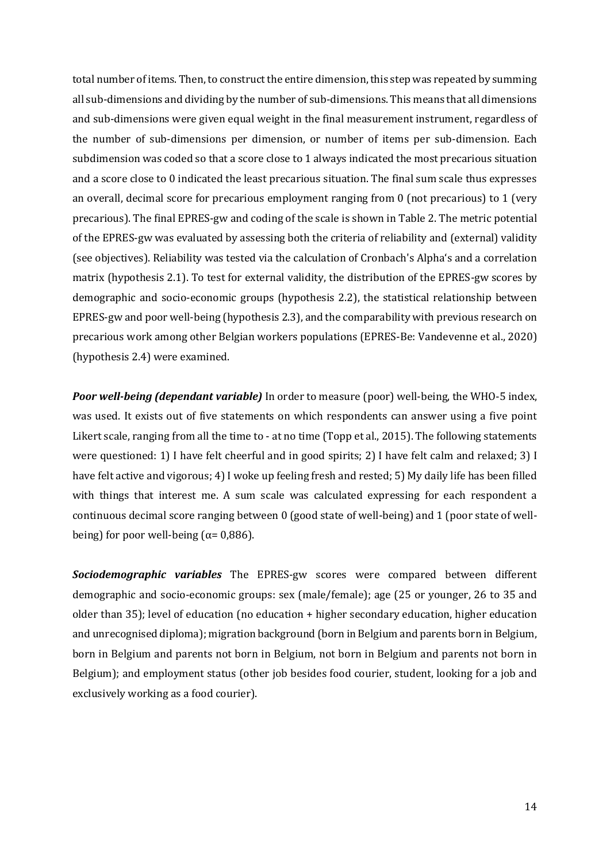total number of items. Then, to construct the entire dimension, this step was repeated by summing all sub-dimensions and dividing by the number of sub-dimensions. This means that all dimensions and sub-dimensions were given equal weight in the final measurement instrument, regardless of the number of sub-dimensions per dimension, or number of items per sub-dimension. Each subdimension was coded so that a score close to 1 always indicated the most precarious situation and a score close to 0 indicated the least precarious situation. The final sum scale thus expresses an overall, decimal score for precarious employment ranging from 0 (not precarious) to 1 (very precarious). The final EPRES-gw and coding of the scale is shown in Table 2. The metric potential of the EPRES-gw was evaluated by assessing both the criteria of reliability and (external) validity (see objectives). Reliability was tested via the calculation of Cronbach's Alpha's and a correlation matrix (hypothesis 2.1). To test for external validity, the distribution of the EPRES-gw scores by demographic and socio-economic groups (hypothesis 2.2), the statistical relationship between EPRES-gw and poor well-being (hypothesis 2.3), and the comparability with previous research on precarious work among other Belgian workers populations (EPRES-Be: Vandevenne et al., 2020) (hypothesis 2.4) were examined.

*Poor well-being (dependant variable)* In order to measure (poor) well-being, the WHO-5 index, was used. It exists out of five statements on which respondents can answer using a five point Likert scale, ranging from all the time to - at no time (Topp et al., 2015). The following statements were questioned: 1) I have felt cheerful and in good spirits; 2) I have felt calm and relaxed; 3) I have felt active and vigorous; 4) I woke up feeling fresh and rested; 5) My daily life has been filled with things that interest me. A sum scale was calculated expressing for each respondent a continuous decimal score ranging between 0 (good state of well-being) and 1 (poor state of wellbeing) for poor well-being ( $\alpha$ = 0,886).

*Sociodemographic variables* The EPRES-gw scores were compared between different demographic and socio-economic groups: sex (male/female); age (25 or younger, 26 to 35 and older than 35); level of education (no education + higher secondary education, higher education and unrecognised diploma); migration background (born in Belgium and parents born in Belgium, born in Belgium and parents not born in Belgium, not born in Belgium and parents not born in Belgium); and employment status (other job besides food courier, student, looking for a job and exclusively working as a food courier).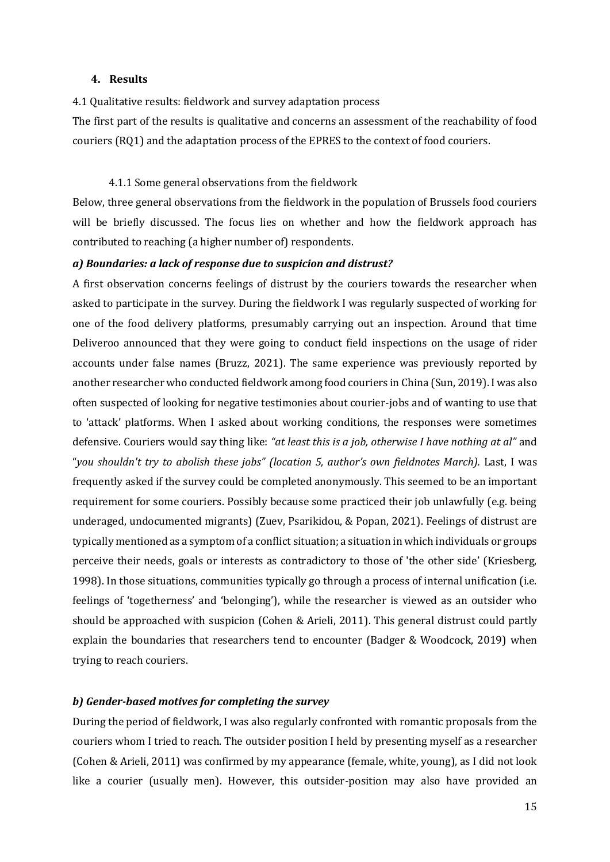#### <span id="page-18-0"></span>**4. Results**

<span id="page-18-1"></span>4.1 Qualitative results: fieldwork and survey adaptation process

The first part of the results is qualitative and concerns an assessment of the reachability of food couriers (RQ1) and the adaptation process of the EPRES to the context of food couriers.

4.1.1 Some general observations from the fieldwork

<span id="page-18-2"></span>Below, three general observations from the fieldwork in the population of Brussels food couriers will be briefly discussed. The focus lies on whether and how the fieldwork approach has contributed to reaching (a higher number of) respondents.

#### *a) Boundaries: a lack of response due to suspicion and distrust?*

A first observation concerns feelings of distrust by the couriers towards the researcher when asked to participate in the survey. During the fieldwork I was regularly suspected of working for one of the food delivery platforms, presumably carrying out an inspection. Around that time Deliveroo announced that they were going to conduct field inspections on the usage of rider accounts under false names (Bruzz, 2021). The same experience was previously reported by another researcher who conducted fieldwork among food couriers in China (Sun, 2019). I was also often suspected of looking for negative testimonies about courier-jobs and of wanting to use that to 'attack' platforms. When I asked about working conditions, the responses were sometimes defensive. Couriers would say thing like: *"at least this is a job, otherwise I have nothing at al"* and "*you shouldn't try to abolish these jobs" (location 5, author's own fieldnotes March).* Last, I was frequently asked if the survey could be completed anonymously. This seemed to be an important requirement for some couriers. Possibly because some practiced their job unlawfully (e.g. being underaged, undocumented migrants) (Zuev, Psarikidou, & Popan, 2021). Feelings of distrust are typically mentioned as a symptom of a conflict situation; a situation in which individuals or groups perceive their needs, goals or interests as contradictory to those of 'the other side' (Kriesberg, 1998). In those situations, communities typically go through a process of internal unification (i.e. feelings of 'togetherness' and 'belonging'), while the researcher is viewed as an outsider who should be approached with suspicion (Cohen & Arieli, 2011). This general distrust could partly explain the boundaries that researchers tend to encounter (Badger & Woodcock, 2019) when trying to reach couriers.

#### *b) Gender-based motives for completing the survey*

During the period of fieldwork, I was also regularly confronted with romantic proposals from the couriers whom I tried to reach. The outsider position I held by presenting myself as a researcher (Cohen & Arieli, 2011) was confirmed by my appearance (female, white, young), as I did not look like a courier (usually men). However, this outsider-position may also have provided an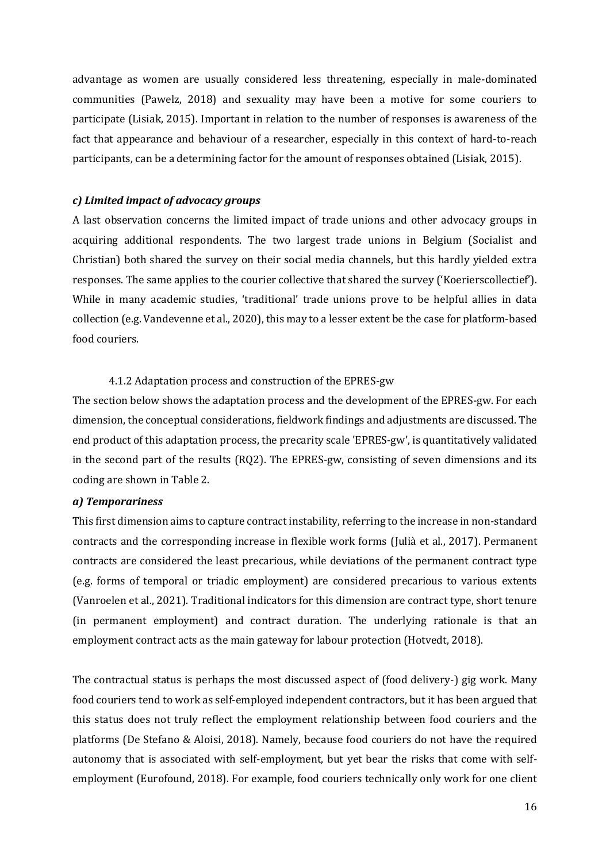advantage as women are usually considered less threatening, especially in male-dominated communities (Pawelz, 2018) and sexuality may have been a motive for some couriers to participate (Lisiak, 2015). Important in relation to the number of responses is awareness of the fact that appearance and behaviour of a researcher, especially in this context of hard-to-reach participants, can be a determining factor for the amount of responses obtained (Lisiak, 2015).

#### *c) Limited impact of advocacy groups*

A last observation concerns the limited impact of trade unions and other advocacy groups in acquiring additional respondents. The two largest trade unions in Belgium (Socialist and Christian) both shared the survey on their social media channels, but this hardly yielded extra responses. The same applies to the courier collective that shared the survey ('Koerierscollectief'). While in many academic studies, 'traditional' trade unions prove to be helpful allies in data collection (e.g. Vandevenne et al., 2020), this may to a lesser extent be the case for platform-based food couriers.

#### 4.1.2 Adaptation process and construction of the EPRES-gw

<span id="page-19-0"></span>The section below shows the adaptation process and the development of the EPRES-gw. For each dimension, the conceptual considerations, fieldwork findings and adjustments are discussed. The end product of this adaptation process, the precarity scale 'EPRES-gw', is quantitatively validated in the second part of the results (RQ2). The EPRES-gw, consisting of seven dimensions and its coding are shown in Table 2.

#### *a) Temporariness*

This first dimension aims to capture contract instability, referring to the increase in non-standard contracts and the corresponding increase in flexible work forms (Julià et al., 2017). Permanent contracts are considered the least precarious, while deviations of the permanent contract type (e.g. forms of temporal or triadic employment) are considered precarious to various extents (Vanroelen et al., 2021). Traditional indicators for this dimension are contract type, short tenure (in permanent employment) and contract duration. The underlying rationale is that an employment contract acts as the main gateway for labour protection (Hotvedt, 2018).

The contractual status is perhaps the most discussed aspect of (food delivery-) gig work. Many food couriers tend to work as self-employed independent contractors, but it has been argued that this status does not truly reflect the employment relationship between food couriers and the platforms (De Stefano & Aloisi, 2018). Namely, because food couriers do not have the required autonomy that is associated with self-employment, but yet bear the risks that come with selfemployment (Eurofound, 2018). For example, food couriers technically only work for one client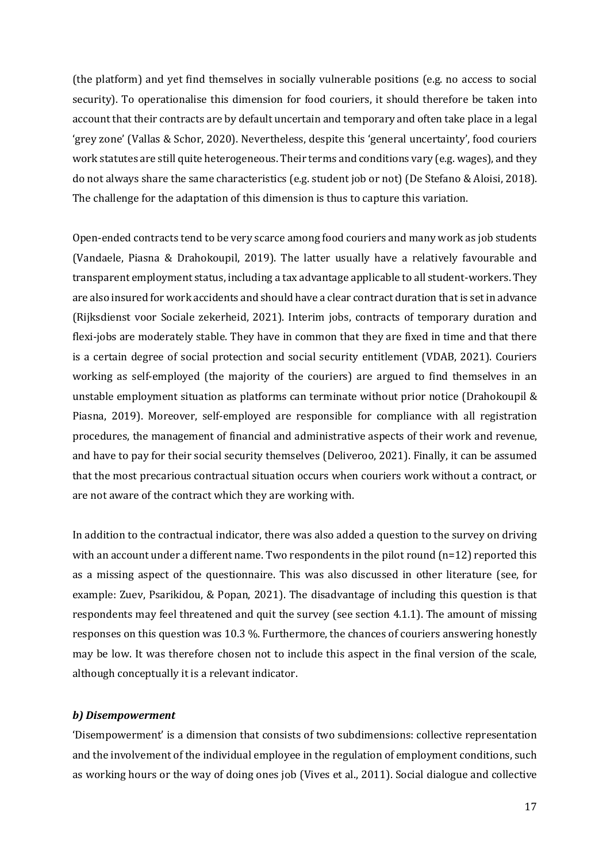(the platform) and yet find themselves in socially vulnerable positions (e.g. no access to social security). To operationalise this dimension for food couriers, it should therefore be taken into account that their contracts are by default uncertain and temporary and often take place in a legal 'grey zone' (Vallas & Schor, 2020). Nevertheless, despite this 'general uncertainty', food couriers work statutes are still quite heterogeneous. Their terms and conditions vary (e.g. wages), and they do not always share the same characteristics (e.g. student job or not) (De Stefano & Aloisi, 2018). The challenge for the adaptation of this dimension is thus to capture this variation.

Open-ended contracts tend to be very scarce among food couriers and many work as job students (Vandaele, Piasna & Drahokoupil, 2019). The latter usually have a relatively favourable and transparent employment status, including a tax advantage applicable to all student-workers. They are also insured for work accidents and should have a clear contract duration that is set in advance (Rijksdienst voor Sociale zekerheid, 2021). Interim jobs, contracts of temporary duration and flexi-jobs are moderately stable. They have in common that they are fixed in time and that there is a certain degree of social protection and social security entitlement (VDAB, 2021). Couriers working as self-employed (the majority of the couriers) are argued to find themselves in an unstable employment situation as platforms can terminate without prior notice (Drahokoupil & Piasna, 2019). Moreover, self-employed are responsible for compliance with all registration procedures, the management of financial and administrative aspects of their work and revenue, and have to pay for their social security themselves (Deliveroo, 2021). Finally, it can be assumed that the most precarious contractual situation occurs when couriers work without a contract, or are not aware of the contract which they are working with.

In addition to the contractual indicator, there was also added a question to the survey on driving with an account under a different name. Two respondents in the pilot round  $(n=12)$  reported this as a missing aspect of the questionnaire. This was also discussed in other literature (see, for example: Zuev, Psarikidou, & Popan, 2021). The disadvantage of including this question is that respondents may feel threatened and quit the survey (see section 4.1.1). The amount of missing responses on this question was 10.3 %. Furthermore, the chances of couriers answering honestly may be low. It was therefore chosen not to include this aspect in the final version of the scale, although conceptually it is a relevant indicator.

#### *b) Disempowerment*

'Disempowerment' is a dimension that consists of two subdimensions: collective representation and the involvement of the individual employee in the regulation of employment conditions, such as working hours or the way of doing ones job (Vives et al., 2011). Social dialogue and collective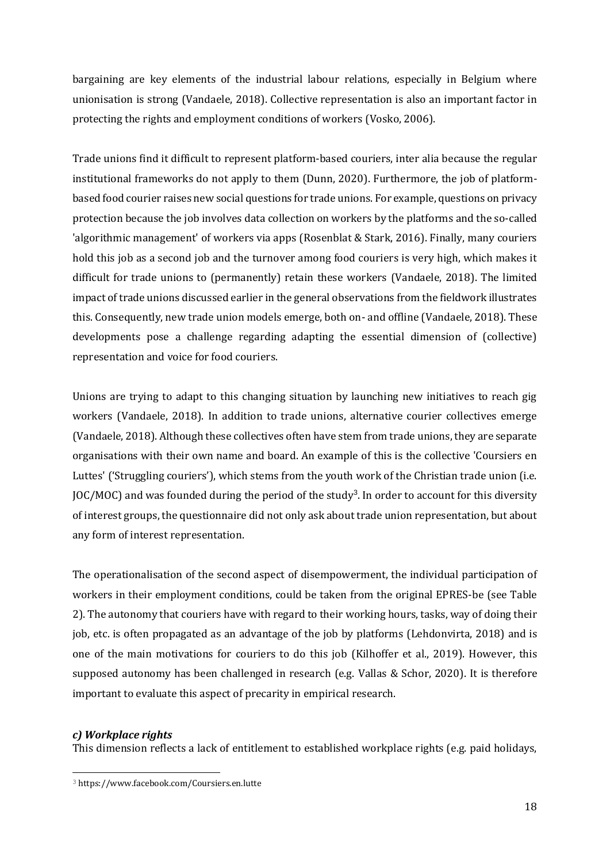bargaining are key elements of the industrial labour relations, especially in Belgium where unionisation is strong (Vandaele, 2018). Collective representation is also an important factor in protecting the rights and employment conditions of workers (Vosko, 2006).

Trade unions find it difficult to represent platform-based couriers, inter alia because the regular institutional frameworks do not apply to them (Dunn, 2020). Furthermore, the job of platformbased food courier raises new social questions for trade unions. For example, questions on privacy protection because the job involves data collection on workers by the platforms and the so-called 'algorithmic management' of workers via apps (Rosenblat & Stark, 2016). Finally, many couriers hold this job as a second job and the turnover among food couriers is very high, which makes it difficult for trade unions to (permanently) retain these workers (Vandaele, 2018). The limited impact of trade unions discussed earlier in the general observations from the fieldwork illustrates this. Consequently, new trade union models emerge, both on- and offline (Vandaele, 2018). These developments pose a challenge regarding adapting the essential dimension of (collective) representation and voice for food couriers.

Unions are trying to adapt to this changing situation by launching new initiatives to reach gig workers (Vandaele, 2018). In addition to trade unions, alternative courier collectives emerge (Vandaele, 2018). Although these collectives often have stem from trade unions, they are separate organisations with their own name and board. An example of this is the collective 'Coursiers en Luttes' ('Struggling couriers'), which stems from the youth work of the Christian trade union (i.e. JOC/MOC) and was founded during the period of the study<sup>3</sup>. In order to account for this diversity of interest groups, the questionnaire did not only ask about trade union representation, but about any form of interest representation.

The operationalisation of the second aspect of disempowerment, the individual participation of workers in their employment conditions, could be taken from the original EPRES-be (see Table 2). The autonomy that couriers have with regard to their working hours, tasks, way of doing their job, etc. is often propagated as an advantage of the job by platforms (Lehdonvirta, 2018) and is one of the main motivations for couriers to do this job (Kilhoffer et al., 2019). However, this supposed autonomy has been challenged in research (e.g. Vallas & Schor, 2020). It is therefore important to evaluate this aspect of precarity in empirical research.

#### *c) Workplace rights*

This dimension reflects a lack of entitlement to established workplace rights (e.g. paid holidays,

<sup>3</sup> https://www.facebook.com/Coursiers.en.lutte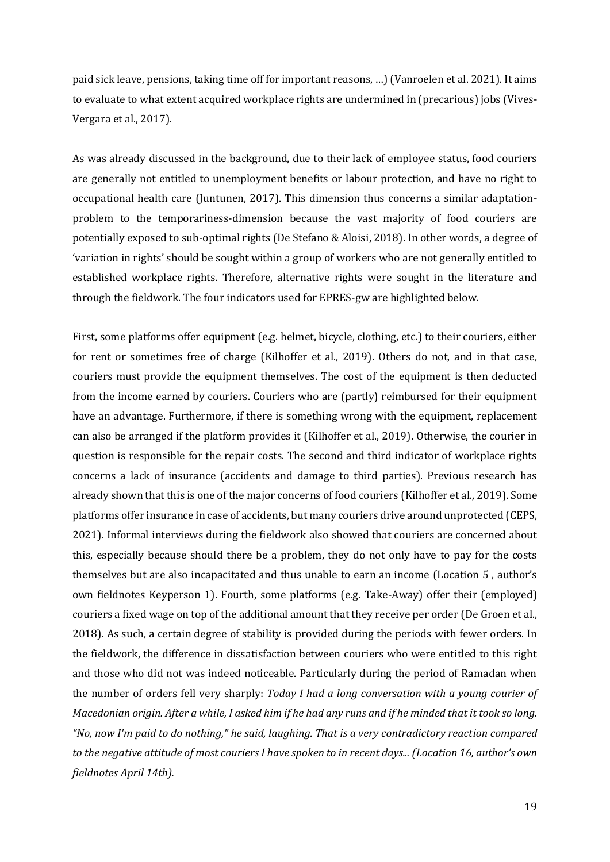paid sick leave, pensions, taking time off for important reasons, …) (Vanroelen et al. 2021). It aims to evaluate to what extent acquired workplace rights are undermined in (precarious) jobs (Vives-Vergara et al., 2017).

As was already discussed in the background, due to their lack of employee status, food couriers are generally not entitled to unemployment benefits or labour protection, and have no right to occupational health care (Juntunen, 2017). This dimension thus concerns a similar adaptationproblem to the temporariness-dimension because the vast majority of food couriers are potentially exposed to sub-optimal rights (De Stefano & Aloisi, 2018). In other words, a degree of 'variation in rights' should be sought within a group of workers who are not generally entitled to established workplace rights. Therefore, alternative rights were sought in the literature and through the fieldwork. The four indicators used for EPRES-gw are highlighted below.

First, some platforms offer equipment (e.g. helmet, bicycle, clothing, etc.) to their couriers, either for rent or sometimes free of charge (Kilhoffer et al., 2019). Others do not, and in that case, couriers must provide the equipment themselves. The cost of the equipment is then deducted from the income earned by couriers. Couriers who are (partly) reimbursed for their equipment have an advantage. Furthermore, if there is something wrong with the equipment, replacement can also be arranged if the platform provides it (Kilhoffer et al., 2019). Otherwise, the courier in question is responsible for the repair costs. The second and third indicator of workplace rights concerns a lack of insurance (accidents and damage to third parties). Previous research has already shown that this is one of the major concerns of food couriers (Kilhoffer et al., 2019). Some platforms offer insurance in case of accidents, but many couriers drive around unprotected (CEPS, 2021). Informal interviews during the fieldwork also showed that couriers are concerned about this, especially because should there be a problem, they do not only have to pay for the costs themselves but are also incapacitated and thus unable to earn an income (Location 5 , author's own fieldnotes Keyperson 1). Fourth, some platforms (e.g. Take-Away) offer their (employed) couriers a fixed wage on top of the additional amount that they receive per order (De Groen et al., 2018). As such, a certain degree of stability is provided during the periods with fewer orders. In the fieldwork, the difference in dissatisfaction between couriers who were entitled to this right and those who did not was indeed noticeable. Particularly during the period of Ramadan when the number of orders fell very sharply: *Today I had a long conversation with a young courier of Macedonian origin. After a while, I asked him if he had any runs and if he minded that it took so long. "No, now I'm paid to do nothing," he said, laughing. That is a very contradictory reaction compared to the negative attitude of most couriers I have spoken to in recent days... (Location 16, author's own fieldnotes April 14th).*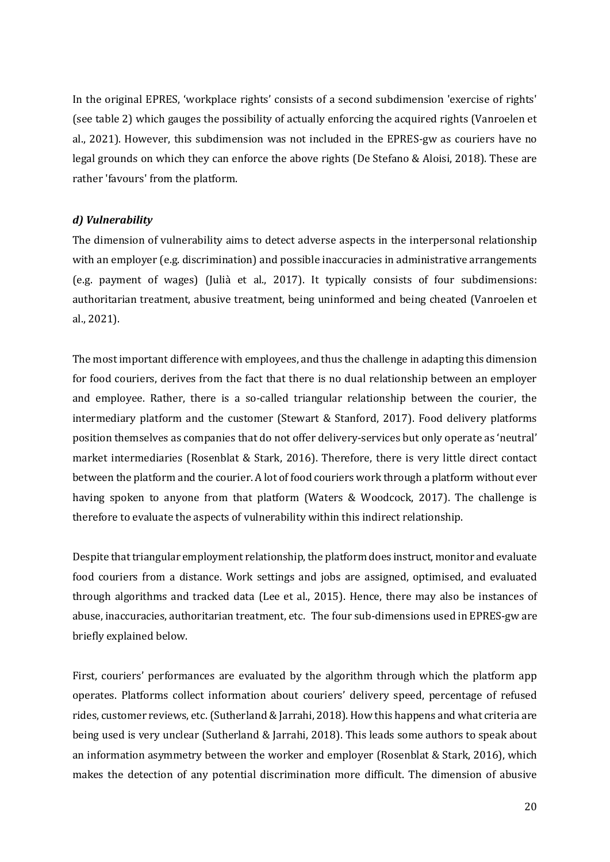In the original EPRES, 'workplace rights' consists of a second subdimension 'exercise of rights' (see table 2) which gauges the possibility of actually enforcing the acquired rights (Vanroelen et al., 2021). However, this subdimension was not included in the EPRES-gw as couriers have no legal grounds on which they can enforce the above rights (De Stefano & Aloisi, 2018). These are rather 'favours' from the platform.

#### *d) Vulnerability*

The dimension of vulnerability aims to detect adverse aspects in the interpersonal relationship with an employer (e.g. discrimination) and possible inaccuracies in administrative arrangements (e.g. payment of wages) (Julià et al., 2017). It typically consists of four subdimensions: authoritarian treatment, abusive treatment, being uninformed and being cheated (Vanroelen et al., 2021).

The most important difference with employees, and thus the challenge in adapting this dimension for food couriers, derives from the fact that there is no dual relationship between an employer and employee. Rather, there is a so-called triangular relationship between the courier, the intermediary platform and the customer (Stewart & Stanford, 2017). Food delivery platforms position themselves as companies that do not offer delivery-services but only operate as 'neutral' market intermediaries (Rosenblat & Stark, 2016). Therefore, there is very little direct contact between the platform and the courier. A lot of food couriers work through a platform without ever having spoken to anyone from that platform (Waters & Woodcock, 2017). The challenge is therefore to evaluate the aspects of vulnerability within this indirect relationship.

Despite that triangular employment relationship, the platform does instruct, monitor and evaluate food couriers from a distance. Work settings and jobs are assigned, optimised, and evaluated through algorithms and tracked data (Lee et al., 2015). Hence, there may also be instances of abuse, inaccuracies, authoritarian treatment, etc. The four sub-dimensions used in EPRES-gw are briefly explained below.

First, couriers' performances are evaluated by the algorithm through which the platform app operates. Platforms collect information about couriers' delivery speed, percentage of refused rides, customer reviews, etc. (Sutherland & Jarrahi, 2018). How this happens and what criteria are being used is very unclear (Sutherland & Jarrahi, 2018). This leads some authors to speak about an information asymmetry between the worker and employer (Rosenblat & Stark, 2016), which makes the detection of any potential discrimination more difficult. The dimension of abusive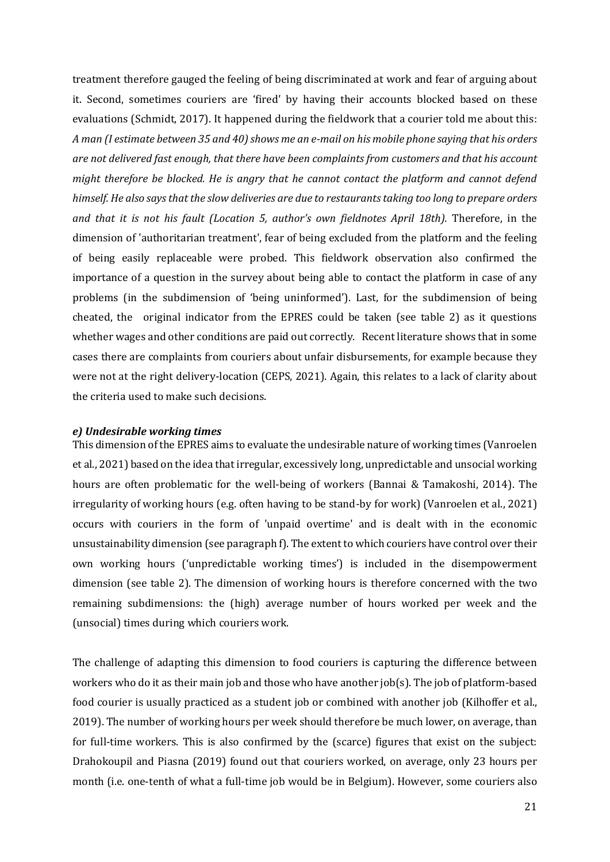treatment therefore gauged the feeling of being discriminated at work and fear of arguing about it. Second, sometimes couriers are 'fired' by having their accounts blocked based on these evaluations (Schmidt, 2017). It happened during the fieldwork that a courier told me about this: *A man (I estimate between 35 and 40) shows me an e-mail on his mobile phone saying that his orders are not delivered fast enough, that there have been complaints from customers and that his account might therefore be blocked. He is angry that he cannot contact the platform and cannot defend himself. He also says that the slow deliveries are due to restaurants taking too long to prepare orders and that it is not his fault (Location 5, author's own fieldnotes April 18th).* Therefore, in the dimension of 'authoritarian treatment', fear of being excluded from the platform and the feeling of being easily replaceable were probed. This fieldwork observation also confirmed the importance of a question in the survey about being able to contact the platform in case of any problems (in the subdimension of 'being uninformed'). Last, for the subdimension of being cheated, the original indicator from the EPRES could be taken (see table 2) as it questions whether wages and other conditions are paid out correctly. Recent literature shows that in some cases there are complaints from couriers about unfair disbursements, for example because they were not at the right delivery-location (CEPS, 2021). Again, this relates to a lack of clarity about the criteria used to make such decisions.

#### *e) Undesirable working times*

This dimension of the EPRES aims to evaluate the undesirable nature of working times (Vanroelen et al., 2021) based on the idea that irregular, excessively long, unpredictable and unsocial working hours are often problematic for the well-being of workers (Bannai & Tamakoshi, 2014). The irregularity of working hours (e.g. often having to be stand-by for work) (Vanroelen et al., 2021) occurs with couriers in the form of 'unpaid overtime' and is dealt with in the economic unsustainability dimension (see paragraph f). The extent to which couriers have control over their own working hours ('unpredictable working times') is included in the disempowerment dimension (see table 2). The dimension of working hours is therefore concerned with the two remaining subdimensions: the (high) average number of hours worked per week and the (unsocial) times during which couriers work.

The challenge of adapting this dimension to food couriers is capturing the difference between workers who do it as their main job and those who have another job(s). The job of platform-based food courier is usually practiced as a student job or combined with another job (Kilhoffer et al., 2019). The number of working hours per week should therefore be much lower, on average, than for full-time workers. This is also confirmed by the (scarce) figures that exist on the subject: Drahokoupil and Piasna (2019) found out that couriers worked, on average, only 23 hours per month (i.e. one-tenth of what a full-time job would be in Belgium). However, some couriers also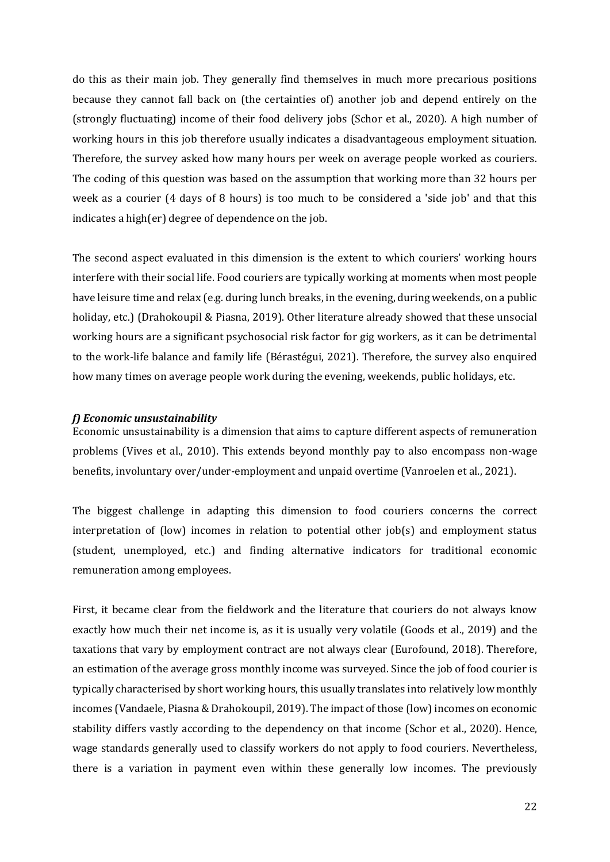do this as their main job. They generally find themselves in much more precarious positions because they cannot fall back on (the certainties of) another job and depend entirely on the (strongly fluctuating) income of their food delivery jobs (Schor et al., 2020). A high number of working hours in this job therefore usually indicates a disadvantageous employment situation. Therefore, the survey asked how many hours per week on average people worked as couriers. The coding of this question was based on the assumption that working more than 32 hours per week as a courier (4 days of 8 hours) is too much to be considered a 'side job' and that this indicates a high(er) degree of dependence on the job.

The second aspect evaluated in this dimension is the extent to which couriers' working hours interfere with their social life. Food couriers are typically working at moments when most people have leisure time and relax (e.g. during lunch breaks, in the evening, during weekends, on a public holiday, etc.) (Drahokoupil & Piasna, 2019). Other literature already showed that these unsocial working hours are a significant psychosocial risk factor for gig workers, as it can be detrimental to the work-life balance and family life (Bérastégui, 2021). Therefore, the survey also enquired how many times on average people work during the evening, weekends, public holidays, etc.

#### *f) Economic unsustainability*

Economic unsustainability is a dimension that aims to capture different aspects of remuneration problems (Vives et al., 2010). This extends beyond monthly pay to also encompass non-wage benefits, involuntary over/under-employment and unpaid overtime (Vanroelen et al., 2021).

The biggest challenge in adapting this dimension to food couriers concerns the correct interpretation of (low) incomes in relation to potential other job(s) and employment status (student, unemployed, etc.) and finding alternative indicators for traditional economic remuneration among employees.

First, it became clear from the fieldwork and the literature that couriers do not always know exactly how much their net income is, as it is usually very volatile (Goods et al., 2019) and the taxations that vary by employment contract are not always clear (Eurofound, 2018). Therefore, an estimation of the average gross monthly income was surveyed. Since the job of food courier is typically characterised by short working hours, this usually translates into relatively low monthly incomes (Vandaele, Piasna & Drahokoupil, 2019). The impact of those (low) incomes on economic stability differs vastly according to the dependency on that income (Schor et al., 2020). Hence, wage standards generally used to classify workers do not apply to food couriers. Nevertheless, there is a variation in payment even within these generally low incomes. The previously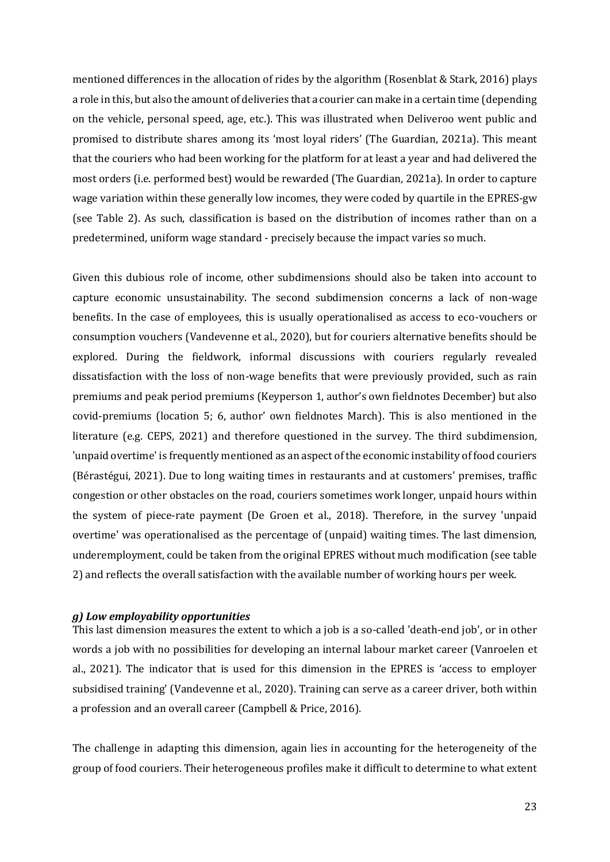mentioned differences in the allocation of rides by the algorithm (Rosenblat & Stark, 2016) plays a role in this, but also the amount of deliveries that a courier can make in a certain time (depending on the vehicle, personal speed, age, etc.). This was illustrated when Deliveroo went public and promised to distribute shares among its 'most loyal riders' (The Guardian, 2021a). This meant that the couriers who had been working for the platform for at least a year and had delivered the most orders (i.e. performed best) would be rewarded (The Guardian, 2021a). In order to capture wage variation within these generally low incomes, they were coded by quartile in the EPRES-gw (see Table 2). As such, classification is based on the distribution of incomes rather than on a predetermined, uniform wage standard - precisely because the impact varies so much.

Given this dubious role of income, other subdimensions should also be taken into account to capture economic unsustainability. The second subdimension concerns a lack of non-wage benefits. In the case of employees, this is usually operationalised as access to eco-vouchers or consumption vouchers (Vandevenne et al., 2020), but for couriers alternative benefits should be explored. During the fieldwork, informal discussions with couriers regularly revealed dissatisfaction with the loss of non-wage benefits that were previously provided, such as rain premiums and peak period premiums (Keyperson 1, author's own fieldnotes December) but also covid-premiums (location 5; 6, author' own fieldnotes March). This is also mentioned in the literature (e.g. CEPS, 2021) and therefore questioned in the survey. The third subdimension, 'unpaid overtime' is frequently mentioned as an aspect of the economic instability of food couriers (Bérastégui, 2021). Due to long waiting times in restaurants and at customers' premises, traffic congestion or other obstacles on the road, couriers sometimes work longer, unpaid hours within the system of piece-rate payment (De Groen et al., 2018). Therefore, in the survey 'unpaid overtime' was operationalised as the percentage of (unpaid) waiting times. The last dimension, underemployment, could be taken from the original EPRES without much modification (see table 2) and reflects the overall satisfaction with the available number of working hours per week.

#### *g) Low employability opportunities*

This last dimension measures the extent to which a job is a so-called 'death-end job', or in other words a job with no possibilities for developing an internal labour market career (Vanroelen et al., 2021). The indicator that is used for this dimension in the EPRES is 'access to employer subsidised training' (Vandevenne et al., 2020). Training can serve as a career driver, both within a profession and an overall career (Campbell & Price, 2016).

The challenge in adapting this dimension, again lies in accounting for the heterogeneity of the group of food couriers. Their heterogeneous profiles make it difficult to determine to what extent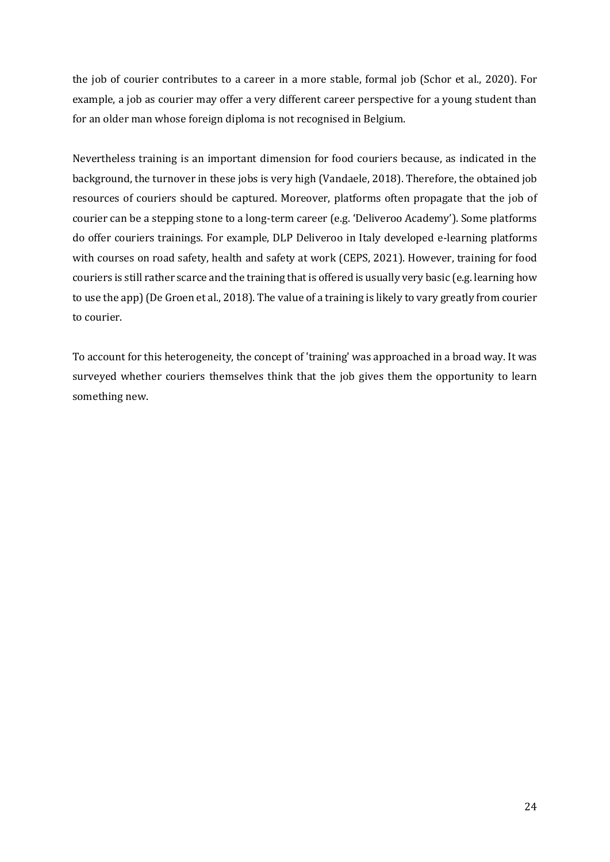the job of courier contributes to a career in a more stable, formal job (Schor et al., 2020). For example, a job as courier may offer a very different career perspective for a young student than for an older man whose foreign diploma is not recognised in Belgium.

Nevertheless training is an important dimension for food couriers because, as indicated in the background, the turnover in these jobs is very high (Vandaele, 2018). Therefore, the obtained job resources of couriers should be captured. Moreover, platforms often propagate that the job of courier can be a stepping stone to a long-term career (e.g. 'Deliveroo Academy'). Some platforms do offer couriers trainings. For example, DLP Deliveroo in Italy developed e-learning platforms with courses on road safety, health and safety at work (CEPS, 2021). However, training for food couriers is still rather scarce and the training that is offered is usually very basic (e.g. learning how to use the app) (De Groen et al., 2018). The value of a training is likely to vary greatly from courier to courier.

To account for this heterogeneity, the concept of 'training' was approached in a broad way. It was surveyed whether couriers themselves think that the job gives them the opportunity to learn something new.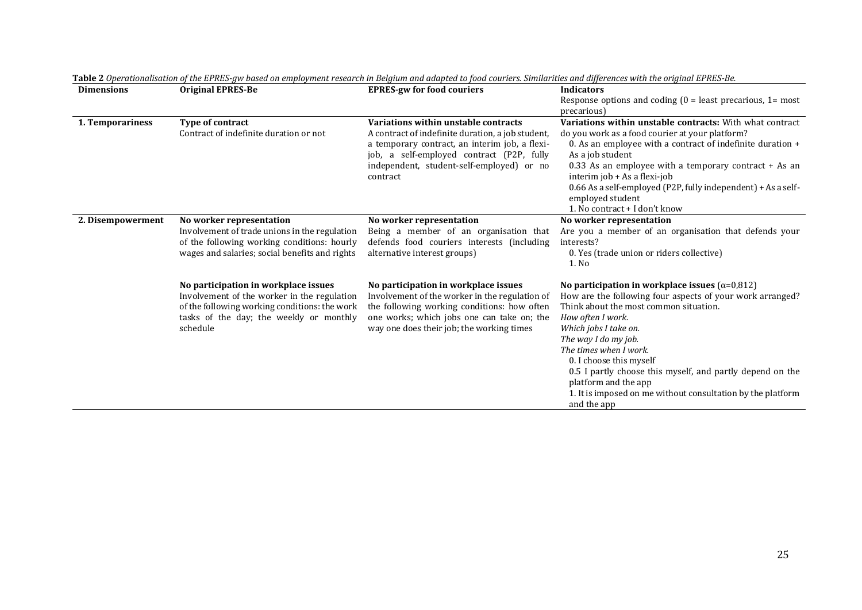| <b>Dimensions</b> | <b>Original EPRES-Be</b>                       | <b>EPRES-gw for food couriers</b>                     | <b>Indicators</b>                                                                         |
|-------------------|------------------------------------------------|-------------------------------------------------------|-------------------------------------------------------------------------------------------|
|                   |                                                |                                                       | Response options and coding $(0 =$ least precarious, $1 =$ most                           |
|                   |                                                |                                                       | precarious)                                                                               |
| 1. Temporariness  | Type of contract                               | Variations within unstable contracts                  | Variations within unstable contracts: With what contract                                  |
|                   | Contract of indefinite duration or not         | A contract of indefinite duration, a job student,     | do you work as a food courier at your platform?                                           |
|                   |                                                | a temporary contract, an interim job, a flexi-        | 0. As an employee with a contract of indefinite duration +                                |
|                   |                                                | job, a self-employed contract (P2P, fully             | As a job student                                                                          |
|                   |                                                | independent, student-self-employed) or no<br>contract | $0.33$ As an employee with a temporary contract $+$ As an<br>interim job + As a flexi-job |
|                   |                                                |                                                       | 0.66 As a self-employed (P2P, fully independent) + As a self-<br>employed student         |
|                   |                                                |                                                       | 1. No contract + I don't know                                                             |
| 2. Disempowerment | No worker representation                       | No worker representation                              | No worker representation                                                                  |
|                   | Involvement of trade unions in the regulation  | Being a member of an organisation that                | Are you a member of an organisation that defends your                                     |
|                   | of the following working conditions: hourly    | defends food couriers interests (including            | interests?                                                                                |
|                   | wages and salaries; social benefits and rights | alternative interest groups)                          | 0. Yes (trade union or riders collective)<br>1. No                                        |
|                   |                                                |                                                       |                                                                                           |
|                   | No participation in workplace issues           | No participation in workplace issues                  | No participation in workplace issues ( $\alpha$ =0,812)                                   |
|                   | Involvement of the worker in the regulation    | Involvement of the worker in the regulation of        | How are the following four aspects of your work arranged?                                 |
|                   | of the following working conditions: the work  | the following working conditions: how often           | Think about the most common situation.                                                    |
|                   | tasks of the day; the weekly or monthly        | one works; which jobs one can take on; the            | How often I work.                                                                         |
|                   | schedule                                       | way one does their job; the working times             | Which jobs I take on.                                                                     |
|                   |                                                |                                                       | The way I do my job.                                                                      |
|                   |                                                |                                                       | The times when I work.                                                                    |
|                   |                                                |                                                       | 0. I choose this myself                                                                   |
|                   |                                                |                                                       | 0.5 I partly choose this myself, and partly depend on the<br>platform and the app         |
|                   |                                                |                                                       | 1. It is imposed on me without consultation by the platform                               |
|                   |                                                |                                                       | and the app                                                                               |

**Table 2** *Operationalisation of the EPRES-gw based on employment research in Belgium and adapted to food couriers. Similarities and differences with the original EPRES-Be.*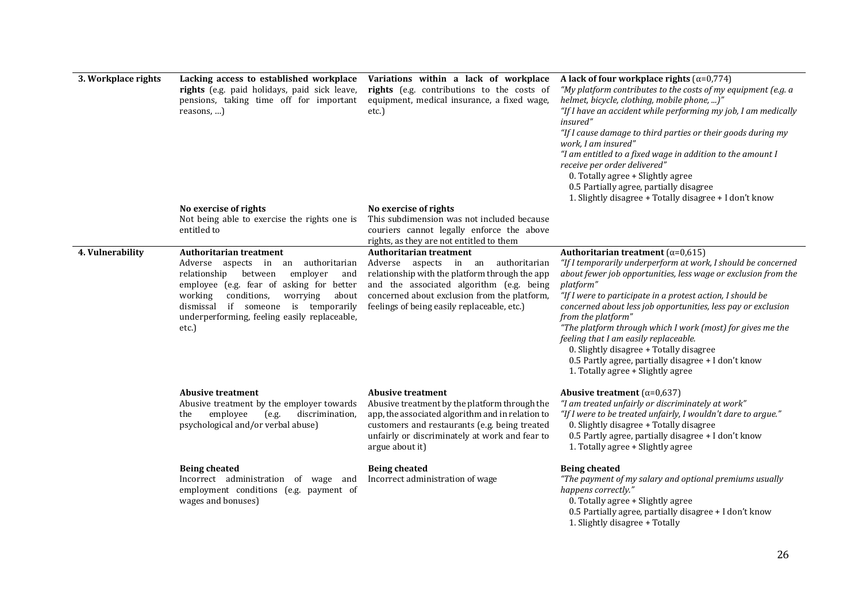| 3. Workplace rights | Lacking access to established workplace<br>rights (e.g. paid holidays, paid sick leave,<br>pensions, taking time off for important<br>reasons, )                                                                                                                                                                  | Variations within a lack of workplace<br>rights (e.g. contributions to the costs of<br>equipment, medical insurance, a fixed wage,<br>etc.)                                                                                                                        | A lack of four workplace rights ( $\alpha$ =0,774)<br>"My platform contributes to the costs of my equipment (e.g. a<br>helmet, bicycle, clothing, mobile phone, )"<br>"If I have an accident while performing my job, I am medically<br>insured"<br>"If I cause damage to third parties or their goods during my<br>work, I am insured"<br>"I am entitled to a fixed wage in addition to the amount I<br>receive per order delivered"<br>0. Totally agree + Slightly agree<br>0.5 Partially agree, partially disagree<br>1. Slightly disagree + Totally disagree + I don't know               |  |
|---------------------|-------------------------------------------------------------------------------------------------------------------------------------------------------------------------------------------------------------------------------------------------------------------------------------------------------------------|--------------------------------------------------------------------------------------------------------------------------------------------------------------------------------------------------------------------------------------------------------------------|-----------------------------------------------------------------------------------------------------------------------------------------------------------------------------------------------------------------------------------------------------------------------------------------------------------------------------------------------------------------------------------------------------------------------------------------------------------------------------------------------------------------------------------------------------------------------------------------------|--|
|                     | No exercise of rights<br>Not being able to exercise the rights one is<br>entitled to                                                                                                                                                                                                                              | No exercise of rights<br>This subdimension was not included because<br>couriers cannot legally enforce the above<br>rights, as they are not entitled to them                                                                                                       |                                                                                                                                                                                                                                                                                                                                                                                                                                                                                                                                                                                               |  |
| 4. Vulnerability    | <b>Authoritarian treatment</b><br>Adverse aspects in<br>an authoritarian<br>relationship<br>between<br>employer<br>and<br>employee (e.g. fear of asking for better<br>conditions,<br>about<br>working<br>worrying<br>dismissal if someone is temporarily<br>underperforming, feeling easily replaceable,<br>etc.) | <b>Authoritarian treatment</b><br>Adverse aspects in an authoritarian<br>relationship with the platform through the app<br>and the associated algorithm (e.g. being<br>concerned about exclusion from the platform,<br>feelings of being easily replaceable, etc.) | Authoritarian treatment ( $\alpha$ =0,615)<br>"If I temporarily underperform at work, I should be concerned<br>about fewer job opportunities, less wage or exclusion from the<br>platform"<br>"If I were to participate in a protest action, I should be<br>concerned about less job opportunities, less pay or exclusion<br>from the platform"<br>"The platform through which I work (most) for gives me the<br>feeling that I am easily replaceable.<br>0. Slightly disagree + Totally disagree<br>0.5 Partly agree, partially disagree + I don't know<br>1. Totally agree + Slightly agree |  |
|                     | <b>Abusive treatment</b><br>Abusive treatment by the employer towards<br>employee<br>(e.g.<br>discrimination,<br>the<br>psychological and/or verbal abuse)                                                                                                                                                        | <b>Abusive treatment</b><br>Abusive treatment by the platform through the<br>app, the associated algorithm and in relation to<br>customers and restaurants (e.g. being treated<br>unfairly or discriminately at work and fear to<br>argue about it)                | Abusive treatment ( $\alpha$ =0,637)<br>"I am treated unfairly or discriminately at work"<br>"If I were to be treated unfairly, I wouldn't dare to argue."<br>0. Slightly disagree + Totally disagree<br>0.5 Partly agree, partially disagree + I don't know<br>1. Totally agree + Slightly agree                                                                                                                                                                                                                                                                                             |  |
|                     | <b>Being cheated</b><br>Incorrect administration of wage and<br>employment conditions (e.g. payment of<br>wages and bonuses)                                                                                                                                                                                      | <b>Being cheated</b><br>Incorrect administration of wage                                                                                                                                                                                                           | <b>Being cheated</b><br>"The payment of my salary and optional premiums usually<br>happens correctly."<br>0. Totally agree + Slightly agree<br>0.5 Partially agree, partially disagree + I don't know<br>1. Slightly disagree + Totally                                                                                                                                                                                                                                                                                                                                                       |  |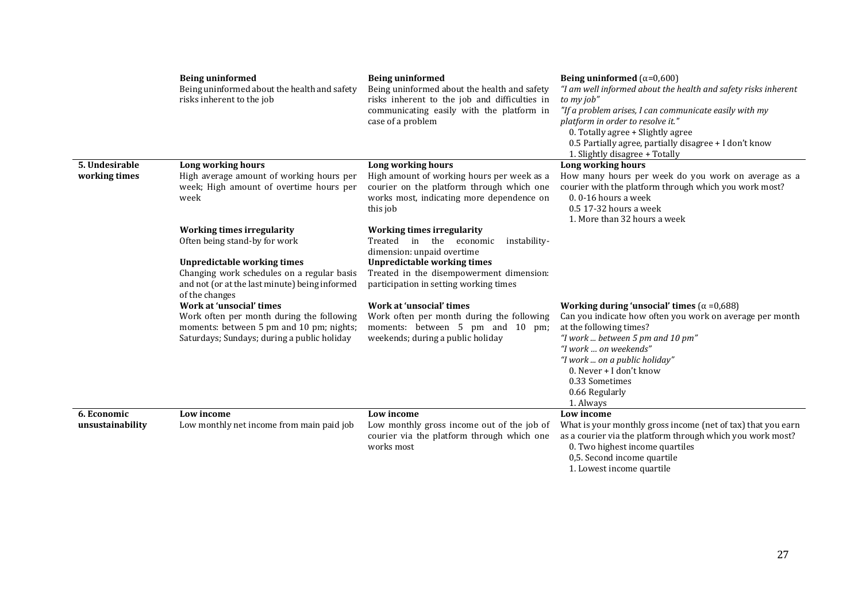|                                 | <b>Being uninformed</b><br>Being uninformed about the health and safety<br>risks inherent to the job                                                                                                     | <b>Being uninformed</b><br>Being uninformed about the health and safety<br>risks inherent to the job and difficulties in<br>communicating easily with the platform in<br>case of a problem                                             | Being uninformed $(\alpha=0,600)$<br>"I am well informed about the health and safety risks inherent<br>to my job"<br>"If a problem arises, I can communicate easily with my<br>platform in order to resolve it."<br>0. Totally agree + Slightly agree<br>0.5 Partially agree, partially disagree + I don't know<br>1. Slightly disagree + Totally |
|---------------------------------|----------------------------------------------------------------------------------------------------------------------------------------------------------------------------------------------------------|----------------------------------------------------------------------------------------------------------------------------------------------------------------------------------------------------------------------------------------|---------------------------------------------------------------------------------------------------------------------------------------------------------------------------------------------------------------------------------------------------------------------------------------------------------------------------------------------------|
| 5. Undesirable<br>working times | Long working hours<br>High average amount of working hours per<br>week; High amount of overtime hours per<br>week                                                                                        | Long working hours<br>High amount of working hours per week as a<br>courier on the platform through which one<br>works most, indicating more dependence on<br>this job                                                                 | Long working hours<br>How many hours per week do you work on average as a<br>courier with the platform through which you work most?<br>$0.0 - 16$ hours a week<br>0.5 17-32 hours a week<br>1. More than 32 hours a week                                                                                                                          |
|                                 | <b>Working times irregularity</b><br>Often being stand-by for work<br><b>Unpredictable working times</b><br>Changing work schedules on a regular basis<br>and not (or at the last minute) being informed | <b>Working times irregularity</b><br>Treated in the economic<br>instability-<br>dimension: unpaid overtime<br><b>Unpredictable working times</b><br>Treated in the disempowerment dimension:<br>participation in setting working times |                                                                                                                                                                                                                                                                                                                                                   |
|                                 | of the changes<br>Work at 'unsocial' times<br>Work often per month during the following<br>moments: between 5 pm and 10 pm; nights;<br>Saturdays; Sundays; during a public holiday                       | Work at 'unsocial' times<br>Work often per month during the following<br>moments: between 5 pm and 10 pm;<br>weekends; during a public holiday                                                                                         | Working during 'unsocial' times ( $\alpha$ =0,688)<br>Can you indicate how often you work on average per month<br>at the following times?<br>"I work  between 5 pm and 10 pm"<br>"I work  on weekends"<br>"I work  on a public holiday"<br>0. Never + I don't know<br>0.33 Sometimes<br>0.66 Regularly<br>1. Always                               |
| 6. Economic<br>unsustainability | Low income<br>Low monthly net income from main paid job                                                                                                                                                  | Low income<br>Low monthly gross income out of the job of<br>courier via the platform through which one<br>works most                                                                                                                   | Low income<br>What is your monthly gross income (net of tax) that you earn<br>as a courier via the platform through which you work most?<br>0. Two highest income quartiles<br>0,5. Second income quartile<br>1. Lowest income quartile                                                                                                           |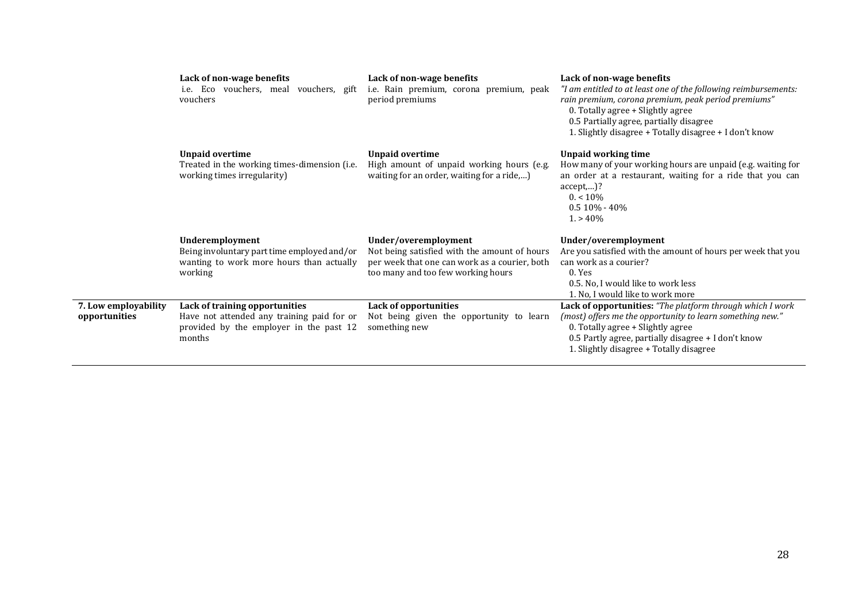|                                       | Lack of non-wage benefits<br>i.e. Eco vouchers, meal vouchers, gift<br>vouchers                                                   | Lack of non-wage benefits<br>i.e. Rain premium, corona premium, peak<br>period premiums                                                                     | Lack of non-wage benefits<br>"I am entitled to at least one of the following reimbursements:<br>rain premium, corona premium, peak period premiums"<br>0. Totally agree + Slightly agree<br>0.5 Partially agree, partially disagree<br>1. Slightly disagree + Totally disagree + I don't know |
|---------------------------------------|-----------------------------------------------------------------------------------------------------------------------------------|-------------------------------------------------------------------------------------------------------------------------------------------------------------|-----------------------------------------------------------------------------------------------------------------------------------------------------------------------------------------------------------------------------------------------------------------------------------------------|
|                                       | Unpaid overtime<br>Treated in the working times-dimension (i.e.<br>working times irregularity)                                    | <b>Unpaid overtime</b><br>High amount of unpaid working hours (e.g.<br>waiting for an order, waiting for a ride,)                                           | Unpaid working time<br>How many of your working hours are unpaid (e.g. waiting for<br>an order at a restaurant, waiting for a ride that you can<br>$accept,$ ?<br>$0. < 10\%$<br>$0.510\% - 40\%$<br>$1. > 40\%$                                                                              |
|                                       | Underemployment<br>Being involuntary part time employed and/or<br>wanting to work more hours than actually<br>working             | Under/overemployment<br>Not being satisfied with the amount of hours<br>per week that one can work as a courier, both<br>too many and too few working hours | Under/overemployment<br>Are you satisfied with the amount of hours per week that you<br>can work as a courier?<br>$0.$ Yes<br>0.5. No. I would like to work less<br>1. No, I would like to work more                                                                                          |
| 7. Low employability<br>opportunities | Lack of training opportunities<br>Have not attended any training paid for or<br>provided by the employer in the past 12<br>months | Lack of opportunities<br>Not being given the opportunity to learn<br>something new                                                                          | Lack of opportunities: "The platform through which I work<br>(most) offers me the opportunity to learn something new."<br>0. Totally agree + Slightly agree<br>0.5 Partly agree, partially disagree + I don't know<br>1. Slightly disagree + Totally disagree                                 |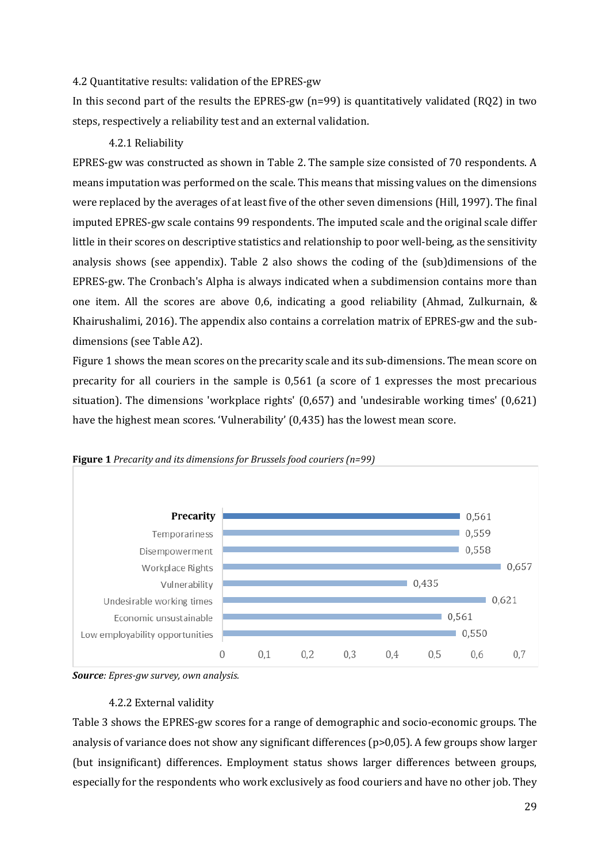#### <span id="page-32-0"></span>4.2 Quantitative results: validation of the EPRES-gw

In this second part of the results the EPRES-gw (n=99) is quantitatively validated (RQ2) in two steps, respectively a reliability test and an external validation.

#### 4.2.1 Reliability

<span id="page-32-1"></span>EPRES-gw was constructed as shown in Table 2. The sample size consisted of 70 respondents. A means imputation was performed on the scale. This means that missing values on the dimensions were replaced by the averages of at least five of the other seven dimensions (Hill, 1997). The final imputed EPRES-gw scale contains 99 respondents. The imputed scale and the original scale differ little in their scores on descriptive statistics and relationship to poor well-being, as the sensitivity analysis shows (see appendix). Table 2 also shows the coding of the (sub)dimensions of the EPRES-gw. The Cronbach's Alpha is always indicated when a subdimension contains more than one item. All the scores are above 0,6, indicating a good reliability (Ahmad, Zulkurnain, & Khairushalimi, 2016). The appendix also contains a correlation matrix of EPRES-gw and the subdimensions (see Table A2).

Figure 1 shows the mean scores on the precarity scale and its sub-dimensions. The mean score on precarity for all couriers in the sample is 0,561 (a score of 1 expresses the most precarious situation). The dimensions 'workplace rights' (0,657) and 'undesirable working times' (0,621) have the highest mean scores. 'Vulnerability' (0,435) has the lowest mean score.



**Figure 1** *Precarity and its dimensions for Brussels food couriers (n=99)*

*Source: Epres-gw survey, own analysis.*

#### 4.2.2 External validity

<span id="page-32-2"></span>Table 3 shows the EPRES-gw scores for a range of demographic and socio-economic groups. The analysis of variance does not show any significant differences (p>0,05). A few groups show larger (but insignificant) differences. Employment status shows larger differences between groups, especially for the respondents who work exclusively as food couriers and have no other job. They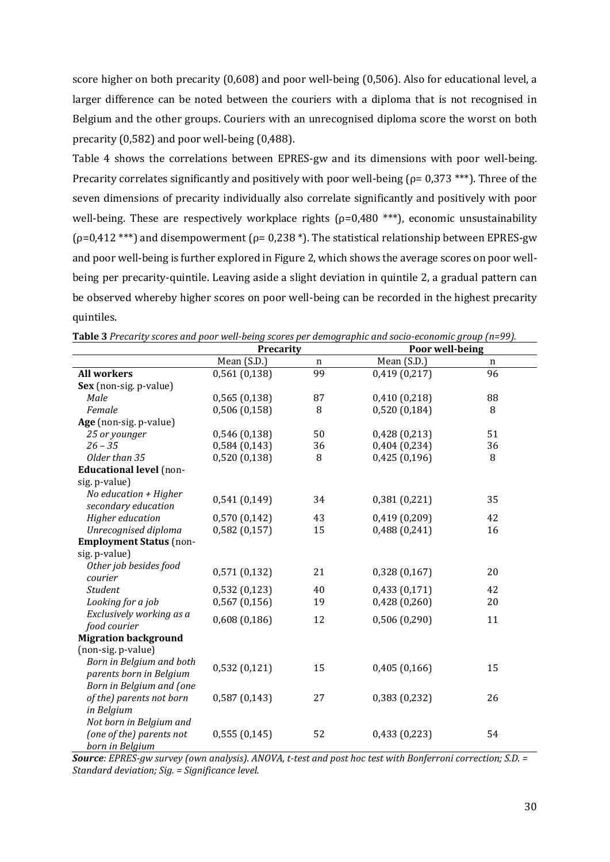score higher on both precarity (0,608) and poor well-being (0,506). Also for educational level, a larger difference can be noted between the couriers with a diploma that is not recognised in Belgium and the other groups. Couriers with an unrecognised diploma score the worst on both precarity (0,582) and poor well-being (0,488).

Table 4 shows the correlations between EPRES-gw and its dimensions with poor well-being. Precarity correlates significantly and positively with poor well-being ( $\rho$ = 0,373 \*\*\*). Three of the seven dimensions of precarity individually also correlate significantly and positively with poor well-being. These are respectively workplace rights ( $\rho$ =0,480<sup>\*\*\*</sup>), economic unsustainability ( $\rho$ =0,412 \*\*\*) and disempowerment ( $\rho$ = 0,238 \*). The statistical relationship between EPRES-gw and poor well-being is further explored in Figure 2, which shows the average scores on poor wellbeing per precarity-quintile. Leaving aside a slight deviation in quintile 2, a gradual pattern can be observed whereby higher scores on poor well-being can be recorded in the highest precarity quintiles.

|                                | Precarity        |    | Poor well-being |    |  |
|--------------------------------|------------------|----|-----------------|----|--|
|                                | Mean (S.D.)<br>n |    | Mean (S.D.)     | n  |  |
| <b>All workers</b>             | 0,561(0,138)     | 99 | 0,419(0,217)    | 96 |  |
| Sex (non-sig. p-value)         |                  |    |                 |    |  |
| Male                           | 0,565(0,138)     | 87 | 0,410(0,218)    | 88 |  |
| Female                         | 0,506(0,158)     | 8  | 0,520(0,184)    | 8  |  |
| Age (non-sig. p-value)         |                  |    |                 |    |  |
| 25 or younger                  | 0,546 (0,138)    | 50 | 0,428(0,213)    | 51 |  |
| $26 - 35$                      | 0,584(0,143)     | 36 | 0,404(0,234)    | 36 |  |
| Older than 35                  | 0,520(0,138)     | 8  | 0,425(0,196)    | 8  |  |
| <b>Educational level</b> (non- |                  |    |                 |    |  |
| sig. p-value)                  |                  |    |                 |    |  |
| No education $+$ Higher        | 0,541(0,149)     | 34 | 0,381(0,221)    | 35 |  |
| secondary education            |                  |    |                 |    |  |
| Higher education               | 0,570(0,142)     | 43 | 0,419(0,209)    | 42 |  |
| Unrecognised diploma           | 0,582(0,157)     | 15 | 0,488(0,241)    | 16 |  |
| <b>Employment Status</b> (non- |                  |    |                 |    |  |
| sig. p-value)                  |                  |    |                 |    |  |
| Other job besides food         | 0,571(0,132)     | 21 | 0,328(0,167)    | 20 |  |
| courier                        |                  |    |                 |    |  |
| <b>Student</b>                 | 0,532(0,123)     | 40 | 0,433(0,171)    | 42 |  |
| Looking for a job              | 0,567(0,156)     | 19 | 0,428(0,260)    | 20 |  |
| Exclusively working as a       | 0,608(0,186)     | 12 | 0,506(0,290)    | 11 |  |
| food courier                   |                  |    |                 |    |  |
| <b>Migration background</b>    |                  |    |                 |    |  |
| (non-sig. p-value)             |                  |    |                 |    |  |
| Born in Belgium and both       | 0,532(0,121)     | 15 | 0,405(0,166)    | 15 |  |
| parents born in Belgium        |                  |    |                 |    |  |
| Born in Belgium and (one       |                  |    |                 |    |  |
| of the) parents not born       | 0,587(0,143)     | 27 | 0,383(0,232)    | 26 |  |
| in Belgium                     |                  |    |                 |    |  |
| Not born in Belgium and        |                  |    |                 |    |  |
| (one of the) parents not       | 0,555(0,145)     | 52 | 0,433(0,223)    | 54 |  |
| born in Belgium                |                  |    |                 |    |  |

**Table 3** *Precarity scores and poor well-being scores per demographic and socio-economic group (n=99).*

*Source: EPRES-gw survey (own analysis). ANOVA, t-test and post hoc test with Bonferroni correction; S.D. = Standard deviation; Sig. = Significance level.*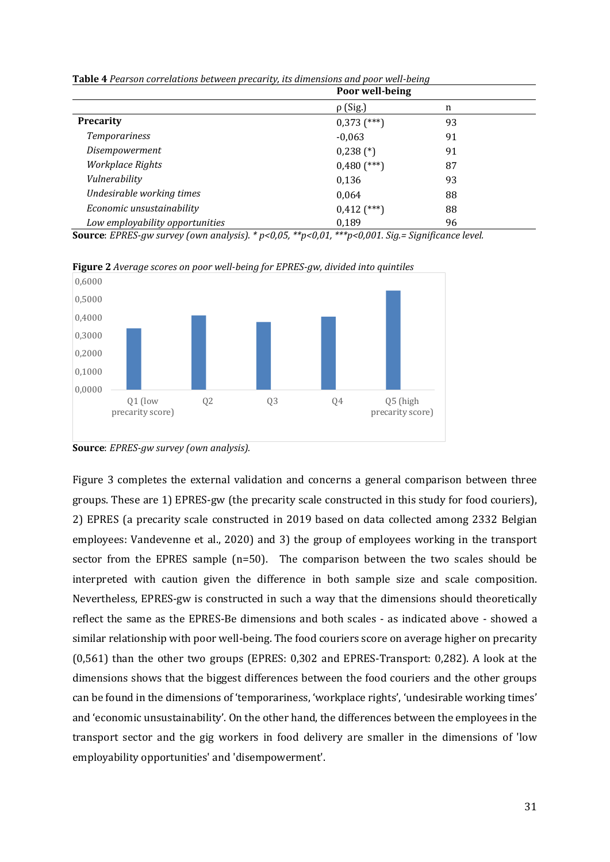|                                 | Poor well-being |    |  |
|---------------------------------|-----------------|----|--|
|                                 | $\rho$ (Sig.)   | n  |  |
| <b>Precarity</b>                | $0,373$ (***)   | 93 |  |
| <b>Temporariness</b>            | $-0,063$        | 91 |  |
| Disempowerment                  | $0,238$ (*)     | 91 |  |
| Workplace Rights                | $0,480$ (***)   | 87 |  |
| Vulnerability                   | 0,136           | 93 |  |
| Undesirable working times       | 0,064           | 88 |  |
| Economic unsustainability       | $0,412$ (***)   | 88 |  |
| Low employability opportunities | 0,189           | 96 |  |

**Table 4** *Pearson correlations between precarity, its dimensions and poor well-being*

**Source**: *EPRES-gw survey (own analysis). \* p<0,05, \*\*p<0,01, \*\*\*p<0,001. Sig.= Significance level.*



**Figure 2** *Average scores on poor well-being for EPRES-gw, divided into quintiles*

Figure 3 completes the external validation and concerns a general comparison between three groups. These are 1) EPRES-gw (the precarity scale constructed in this study for food couriers), 2) EPRES (a precarity scale constructed in 2019 based on data collected among 2332 Belgian employees: Vandevenne et al., 2020) and 3) the group of employees working in the transport sector from the EPRES sample (n=50). The comparison between the two scales should be interpreted with caution given the difference in both sample size and scale composition. Nevertheless, EPRES-gw is constructed in such a way that the dimensions should theoretically reflect the same as the EPRES-Be dimensions and both scales - as indicated above - showed a similar relationship with poor well-being. The food couriers score on average higher on precarity (0,561) than the other two groups (EPRES: 0,302 and EPRES-Transport: 0,282). A look at the dimensions shows that the biggest differences between the food couriers and the other groups can be found in the dimensions of 'temporariness, 'workplace rights', 'undesirable working times' and 'economic unsustainability'. On the other hand, the differences between the employees in the transport sector and the gig workers in food delivery are smaller in the dimensions of 'low employability opportunities' and 'disempowerment'.

**Source**: *EPRES-gw survey (own analysis).*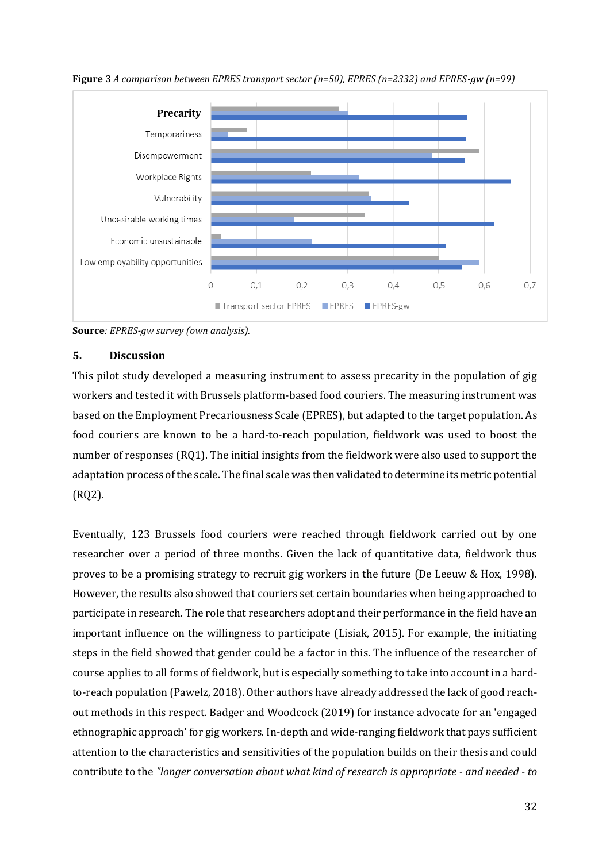

**Figure 3** *A comparison between EPRES transport sector (n=50), EPRES (n=2332) and EPRES-gw (n=99)*

<span id="page-35-0"></span>**Source***: EPRES-gw survey (own analysis).* 

#### **5. Discussion**

This pilot study developed a measuring instrument to assess precarity in the population of gig workers and tested it with Brussels platform-based food couriers. The measuring instrument was based on the Employment Precariousness Scale (EPRES), but adapted to the target population. As food couriers are known to be a hard-to-reach population, fieldwork was used to boost the number of responses (RQ1). The initial insights from the fieldwork were also used to support the adaptation process of the scale. The final scale was then validated to determine its metric potential (RQ2).

Eventually, 123 Brussels food couriers were reached through fieldwork carried out by one researcher over a period of three months. Given the lack of quantitative data, fieldwork thus proves to be a promising strategy to recruit gig workers in the future (De Leeuw & Hox, 1998). However, the results also showed that couriers set certain boundaries when being approached to participate in research. The role that researchers adopt and their performance in the field have an important influence on the willingness to participate (Lisiak, 2015). For example, the initiating steps in the field showed that gender could be a factor in this. The influence of the researcher of course applies to all forms of fieldwork, but is especially something to take into account in a hardto-reach population (Pawelz, 2018). Other authors have already addressed the lack of good reachout methods in this respect. Badger and Woodcock (2019) for instance advocate for an 'engaged ethnographic approach' for gig workers. In-depth and wide-ranging fieldwork that pays sufficient attention to the characteristics and sensitivities of the population builds on their thesis and could contribute to the *"longer conversation about what kind of research is appropriate - and needed - to*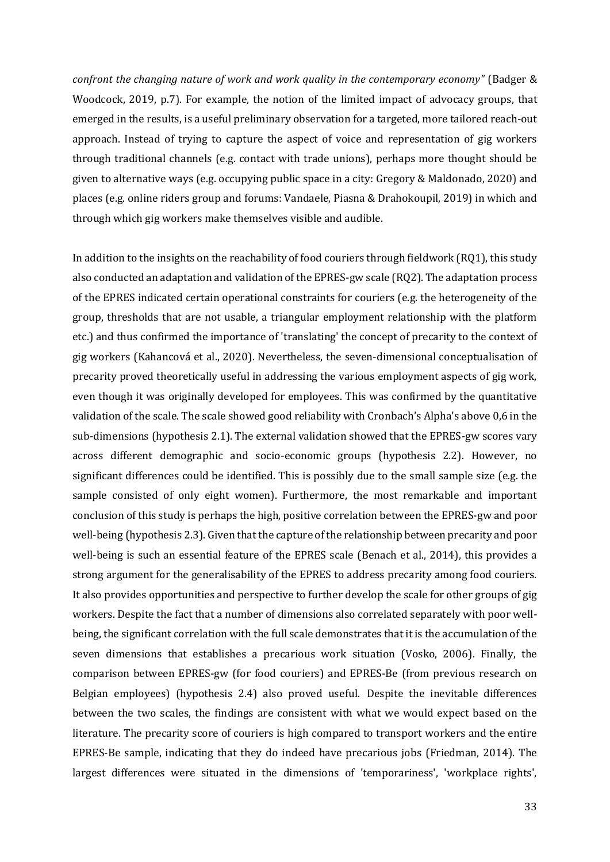*confront the changing nature of work and work quality in the contemporary economy"* (Badger & Woodcock, 2019, p.7). For example, the notion of the limited impact of advocacy groups, that emerged in the results, is a useful preliminary observation for a targeted, more tailored reach-out approach. Instead of trying to capture the aspect of voice and representation of gig workers through traditional channels (e.g. contact with trade unions), perhaps more thought should be given to alternative ways (e.g. occupying public space in a city: Gregory & Maldonado, 2020) and places (e.g. online riders group and forums: Vandaele, Piasna & Drahokoupil, 2019) in which and through which gig workers make themselves visible and audible.

In addition to the insights on the reachability of food couriers through fieldwork (RQ1), this study also conducted an adaptation and validation of the EPRES-gw scale (RQ2). The adaptation process of the EPRES indicated certain operational constraints for couriers (e.g. the heterogeneity of the group, thresholds that are not usable, a triangular employment relationship with the platform etc.) and thus confirmed the importance of 'translating' the concept of precarity to the context of gig workers (Kahancová et al., 2020). Nevertheless, the seven-dimensional conceptualisation of precarity proved theoretically useful in addressing the various employment aspects of gig work, even though it was originally developed for employees. This was confirmed by the quantitative validation of the scale. The scale showed good reliability with Cronbach's Alpha's above 0,6 in the sub-dimensions (hypothesis 2.1). The external validation showed that the EPRES-gw scores vary across different demographic and socio-economic groups (hypothesis 2.2). However, no significant differences could be identified. This is possibly due to the small sample size (e.g. the sample consisted of only eight women). Furthermore, the most remarkable and important conclusion of this study is perhaps the high, positive correlation between the EPRES-gw and poor well-being (hypothesis 2.3). Given that the capture of the relationship between precarity and poor well-being is such an essential feature of the EPRES scale (Benach et al., 2014), this provides a strong argument for the generalisability of the EPRES to address precarity among food couriers. It also provides opportunities and perspective to further develop the scale for other groups of gig workers. Despite the fact that a number of dimensions also correlated separately with poor wellbeing, the significant correlation with the full scale demonstrates that it is the accumulation of the seven dimensions that establishes a precarious work situation (Vosko, 2006). Finally, the comparison between EPRES-gw (for food couriers) and EPRES-Be (from previous research on Belgian employees) (hypothesis 2.4) also proved useful. Despite the inevitable differences between the two scales, the findings are consistent with what we would expect based on the literature. The precarity score of couriers is high compared to transport workers and the entire EPRES-Be sample, indicating that they do indeed have precarious jobs (Friedman, 2014). The largest differences were situated in the dimensions of 'temporariness', 'workplace rights',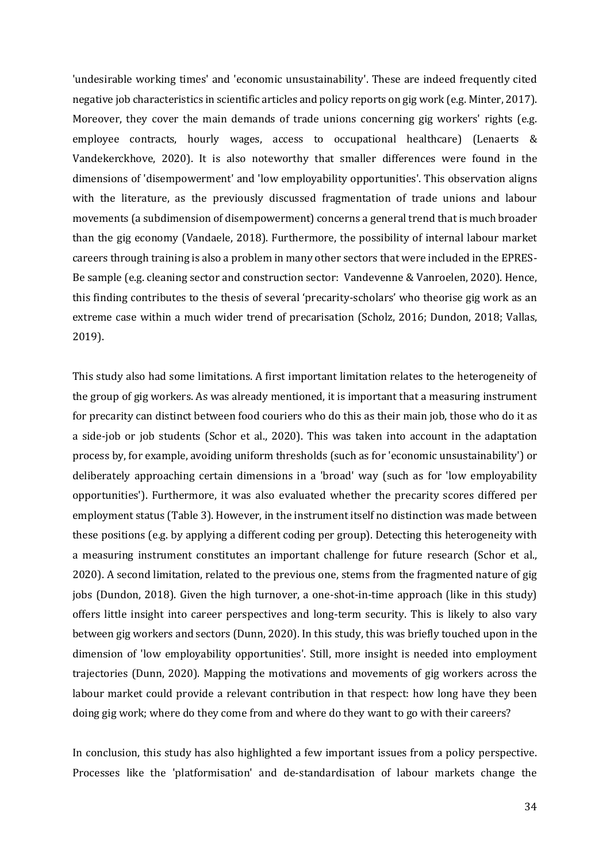'undesirable working times' and 'economic unsustainability'. These are indeed frequently cited negative job characteristics in scientific articles and policy reports on gig work (e.g. Minter, 2017). Moreover, they cover the main demands of trade unions concerning gig workers' rights (e.g. employee contracts, hourly wages, access to occupational healthcare) (Lenaerts & Vandekerckhove, 2020). It is also noteworthy that smaller differences were found in the dimensions of 'disempowerment' and 'low employability opportunities'. This observation aligns with the literature, as the previously discussed fragmentation of trade unions and labour movements (a subdimension of disempowerment) concerns a general trend that is much broader than the gig economy (Vandaele, 2018). Furthermore, the possibility of internal labour market careers through training is also a problem in many other sectors that were included in the EPRES-Be sample (e.g. cleaning sector and construction sector: Vandevenne & Vanroelen, 2020). Hence, this finding contributes to the thesis of several 'precarity-scholars' who theorise gig work as an extreme case within a much wider trend of precarisation (Scholz, 2016; Dundon, 2018; Vallas, 2019).

This study also had some limitations. A first important limitation relates to the heterogeneity of the group of gig workers. As was already mentioned, it is important that a measuring instrument for precarity can distinct between food couriers who do this as their main job, those who do it as a side-job or job students (Schor et al., 2020). This was taken into account in the adaptation process by, for example, avoiding uniform thresholds (such as for 'economic unsustainability') or deliberately approaching certain dimensions in a 'broad' way (such as for 'low employability opportunities'). Furthermore, it was also evaluated whether the precarity scores differed per employment status (Table 3). However, in the instrument itself no distinction was made between these positions (e.g. by applying a different coding per group). Detecting this heterogeneity with a measuring instrument constitutes an important challenge for future research (Schor et al., 2020). A second limitation, related to the previous one, stems from the fragmented nature of gig jobs (Dundon, 2018). Given the high turnover, a one-shot-in-time approach (like in this study) offers little insight into career perspectives and long-term security. This is likely to also vary between gig workers and sectors (Dunn, 2020). In this study, this was briefly touched upon in the dimension of 'low employability opportunities'. Still, more insight is needed into employment trajectories (Dunn, 2020). Mapping the motivations and movements of gig workers across the labour market could provide a relevant contribution in that respect: how long have they been doing gig work; where do they come from and where do they want to go with their careers?

In conclusion, this study has also highlighted a few important issues from a policy perspective. Processes like the 'platformisation' and de-standardisation of labour markets change the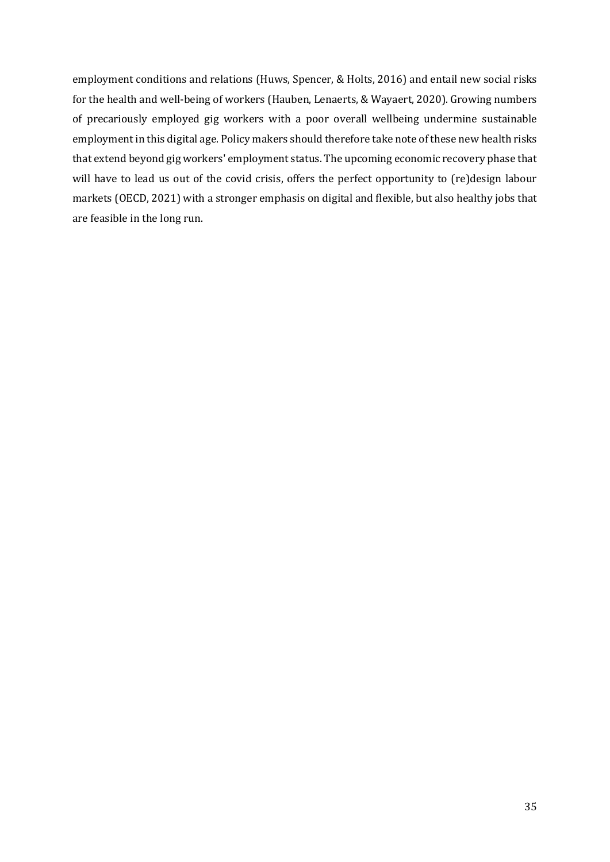employment conditions and relations (Huws, Spencer, & Holts, 2016) and entail new social risks for the health and well-being of workers (Hauben, Lenaerts, & Wayaert, 2020). Growing numbers of precariously employed gig workers with a poor overall wellbeing undermine sustainable employment in this digital age. Policy makers should therefore take note of these new health risks that extend beyond gig workers' employment status. The upcoming economic recovery phase that will have to lead us out of the covid crisis, offers the perfect opportunity to (re)design labour markets (OECD, 2021) with a stronger emphasis on digital and flexible, but also healthy jobs that are feasible in the long run.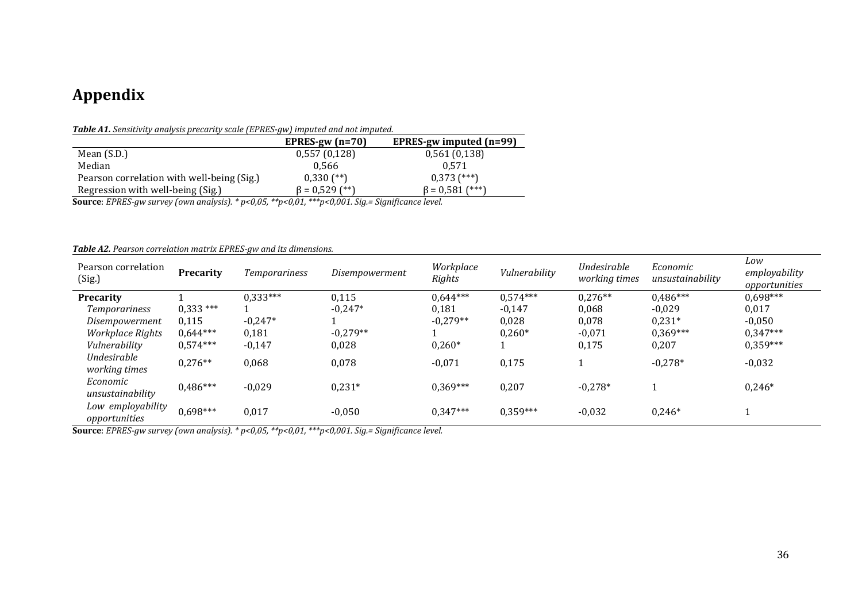## **Appendix**

*Table A1. Sensitivity analysis precarity scale (EPRES-gw) imputed and not imputed.* 

|                                            | EPRES-gw $(n=70)$    | EPRES-gw imputed $(n=99)$ |
|--------------------------------------------|----------------------|---------------------------|
| Mean $(S.D.)$                              | 0,557(0,128)         | 0,561(0,138)              |
| Median                                     | 0.566                | 0.571                     |
| Pearson correlation with well-being (Sig.) | $0,330$ (**)         | $0,373$ (***)             |
| Regression with well-being (Sig.)          | $\beta = 0.529$ (**) | $f***$<br>$\beta = 0.581$ |

**Source**: *EPRES-gw survey (own analysis). \* p<0,05, \*\*p<0,01, \*\*\*p<0,001. Sig.= Significance level.*

#### *Table A2. Pearson correlation matrix EPRES-gw and its dimensions.*

<span id="page-39-0"></span>

| Pearson correlation<br>(Sig.)      | <b>Precarity</b> | <b>Temporariness</b> | Disempowerment | Workplace<br>Rights | Vulnerability | Undesirable<br>working times | Economic<br>unsustainability | Low<br>employability<br>opportunities |
|------------------------------------|------------------|----------------------|----------------|---------------------|---------------|------------------------------|------------------------------|---------------------------------------|
| <b>Precarity</b>                   |                  | $0,333***$           | 0,115          | $0.644***$          | $0.574***$    | $0,276**$                    | $0,486***$                   | $0.698***$                            |
| Temporariness                      | $0,333***$       |                      | $-0,247*$      | 0,181               | $-0,147$      | 0,068                        | $-0,029$                     | 0,017                                 |
| Disempowerment                     | 0,115            | $-0,247*$            |                | $-0,279**$          | 0,028         | 0,078                        | $0,231*$                     | $-0,050$                              |
| Workplace Rights                   | $0.644***$       | 0,181                | $-0,279**$     |                     | $0,260*$      | $-0,071$                     | $0,369***$                   | $0,347***$                            |
| Vulnerability                      | $0.574***$       | $-0,147$             | 0,028          | $0,260*$            |               | 0,175                        | 0,207                        | $0,359***$                            |
| Undesirable<br>working times       | $0,276**$        | 0,068                | 0,078          | $-0,071$            | 0,175         |                              | $-0,278*$                    | $-0,032$                              |
| Economic<br>unsustainability       | $0,486***$       | $-0,029$             | $0,231*$       | $0,369***$          | 0,207         | $-0,278*$                    |                              | $0,246*$                              |
| Low employability<br>opportunities | $0,698***$       | 0,017                | $-0,050$       | $0,347***$          | $0,359***$    | $-0,032$                     | $0,246*$                     |                                       |

**Source**: *EPRES-gw survey (own analysis). \* p<0,05, \*\*p<0,01, \*\*\*p<0,001. Sig.= Significance level.*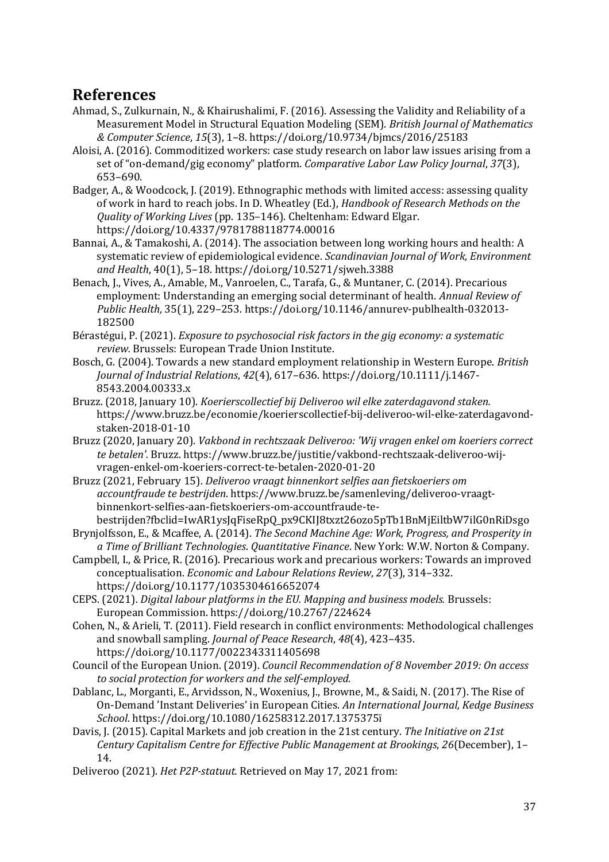## <span id="page-40-0"></span>**References**

- Ahmad, S., Zulkurnain, N., & Khairushalimi, F. (2016). Assessing the Validity and Reliability of a Measurement Model in Structural Equation Modeling (SEM). *British Journal of Mathematics & Computer Science*, *15*(3), 1–8. https://doi.org/10.9734/bjmcs/2016/25183
- Aloisi, A. (2016). Commoditized workers: case study research on labor law issues arising from a set of "on-demand/gig economy" platform. *Comparative Labor Law Policy Journal*, *37*(3), 653–690.
- Badger, A., & Woodcock, J. (2019). Ethnographic methods with limited access: assessing quality of work in hard to reach jobs. In D. Wheatley (Ed.), *Handbook of Research Methods on the Quality of Working Lives* (pp. 135–146). Cheltenham: Edward Elgar. https://doi.org/10.4337/9781788118774.00016
- Bannai, A., & Tamakoshi, A. (2014). The association between long working hours and health: A systematic review of epidemiological evidence. *Scandinavian Journal of Work, Environment and Health*, 40(1), 5–18. https://doi.org/10.5271/sjweh.3388
- Benach, J., Vives, A., Amable, M., Vanroelen, C., Tarafa, G., & Muntaner, C. (2014). Precarious employment: Understanding an emerging social determinant of health. *Annual Review of Public Health,* 35(1), 229–253. https://doi.org/10.1146/annurev-publhealth-032013- 182500
- Bérastégui, P. (2021). *Exposure to psychosocial risk factors in the gig economy: a systematic review.* Brussels: European Trade Union Institute.
- Bosch, G. (2004). Towards a new standard employment relationship in Western Europe. *British Journal of Industrial Relations*, *42*(4), 617–636. https://doi.org/10.1111/j.1467- 8543.2004.00333.x
- Bruzz. (2018, January 10). *Koerierscollectief bij Deliveroo wil elke zaterdagavond staken.*  https://www.bruzz.be/economie/koerierscollectief-bij-deliveroo-wil-elke-zaterdagavondstaken-2018-01-10
- Bruzz (2020, January 20). *Vakbond in rechtszaak Deliveroo: 'Wij vragen enkel om koeriers correct te betalen'.* Bruzz. https://www.bruzz.be/justitie/vakbond-rechtszaak-deliveroo-wijvragen-enkel-om-koeriers-correct-te-betalen-2020-01-20
- Bruzz (2021, February 15). *Deliveroo vraagt binnenkort selfies aan fietskoeriers om accountfraude te bestrijden*. https://www.bruzz.be/samenleving/deliveroo-vraagtbinnenkort-selfies-aan-fietskoeriers-om-accountfraude-te-
- bestrijden?fbclid=IwAR1ysJqFiseRpQ\_px9CKIJ8txzt26ozo5pTb1BnMjEiltbW7ilG0nRiDsgo Brynjolfsson, E., & Mcaffee, A. (2014). *The Second Machine Age: Work, Progress, and Prosperity in a Time of Brilliant Technologies*. *Quantitative Finance*. New York: W.W. Norton & Company.
- Campbell, I., & Price, R. (2016). Precarious work and precarious workers: Towards an improved conceptualisation. *Economic and Labour Relations Review*, *27*(3), 314–332. https://doi.org/10.1177/1035304616652074
- CEPS. (2021). *Digital labour platforms in the EU. Mapping and business models.* Brussels: European Commission. https://doi.org/10.2767/224624
- Cohen, N., & Arieli, T. (2011). Field research in conflict environments: Methodological challenges and snowball sampling. *Journal of Peace Research*, *48*(4), 423–435. https://doi.org/10.1177/0022343311405698
- Council of the European Union. (2019). *Council Recommendation of 8 November 2019: On access to social protection for workers and the self-employed.*
- Dablanc, L., Morganti, E., Arvidsson, N., Woxenius, J., Browne, M., & Saidi, N. (2017). The Rise of On-Demand 'Instant Deliveries' in European Cities. *An International Journal, Kedge Business School*. https://doi.org/10.1080/16258312.2017.1375375ï
- Davis, J. (2015). Capital Markets and job creation in the 21st century. *The Initiative on 21st Century Capitalism Centre for Effective Public Management at Brookings*, *26*(December), 1– 14.
- Deliveroo (2021). *Het P2P-statuut.* Retrieved on May 17, 2021 from: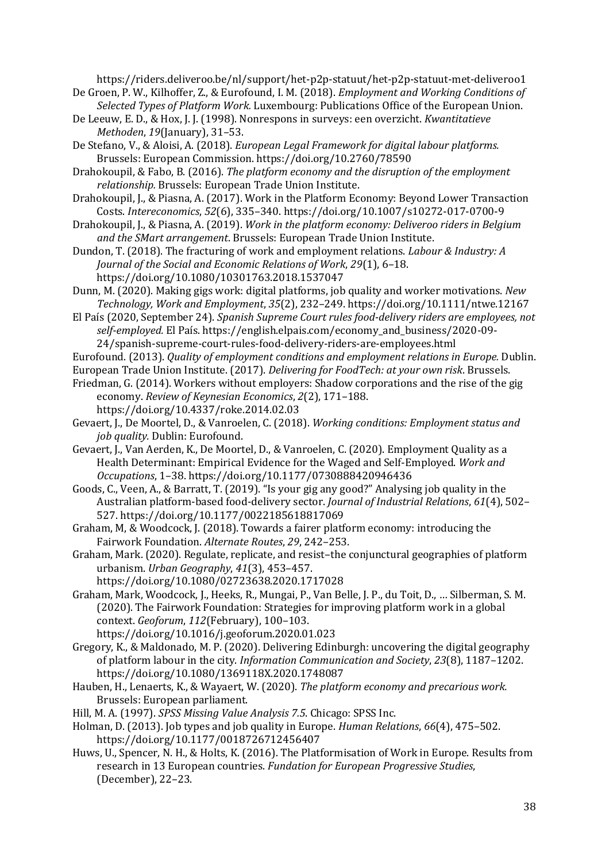https://riders.deliveroo.be/nl/support/het-p2p-statuut/het-p2p-statuut-met-deliveroo1 De Groen, P. W., Kilhoffer, Z., & Eurofound, I. M. (2018). *Employment and Working Conditions of* 

*Selected Types of Platform Work.* Luxembourg: Publications Office of the European Union. De Leeuw, E. D., & Hox, J. J. (1998). Nonrespons in surveys: een overzicht. *Kwantitatieve* 

*Methoden*, *19*(January), 31–53. De Stefano, V., & Aloisi, A. (2018). *European Legal Framework for digital labour platforms.* Brussels: European Commission. https://doi.org/10.2760/78590

Drahokoupil, & Fabo, B. (2016). *The platform economy and the disruption of the employment relationship.* Brussels: European Trade Union Institute.

Drahokoupil, J., & Piasna, A. (2017). Work in the Platform Economy: Beyond Lower Transaction Costs. *Intereconomics*, *52*(6), 335–340. https://doi.org/10.1007/s10272-017-0700-9

Drahokoupil, J., & Piasna, A. (2019). *Work in the platform economy: Deliveroo riders in Belgium and the SMart arrangement*. Brussels: European Trade Union Institute.

Dundon, T. (2018). The fracturing of work and employment relations. *Labour & Industry: A Journal of the Social and Economic Relations of Work*, *29*(1), 6–18. https://doi.org/10.1080/10301763.2018.1537047

Dunn, M. (2020). Making gigs work: digital platforms, job quality and worker motivations. *New Technology, Work and Employment*, *35*(2), 232–249. https://doi.org/10.1111/ntwe.12167

El País (2020, September 24). *Spanish Supreme Court rules food-delivery riders are employees, not self-employed.* El País. https://english.elpais.com/economy\_and\_business/2020-09- 24/spanish-supreme-court-rules-food-delivery-riders-are-employees.html

Eurofound. (2013). *Quality of employment conditions and employment relations in Europe.* Dublin.

European Trade Union Institute. (2017). *Delivering for FoodTech: at your own risk*. Brussels.

Friedman, G. (2014). Workers without employers: Shadow corporations and the rise of the gig economy. *Review of Keynesian Economics*, *2*(2), 171–188. https://doi.org/10.4337/roke.2014.02.03

Gevaert, J., De Moortel, D., & Vanroelen, C. (2018). *Working conditions: Employment status and job quality.* Dublin: Eurofound.

Gevaert, J., Van Aerden, K., De Moortel, D., & Vanroelen, C. (2020). Employment Quality as a Health Determinant: Empirical Evidence for the Waged and Self-Employed. *Work and Occupations*, 1–38. https://doi.org/10.1177/0730888420946436

Goods, C., Veen, A., & Barratt, T. (2019). "Is your gig any good?" Analysing job quality in the Australian platform-based food-delivery sector. *Journal of Industrial Relations*, *61*(4), 502– 527. https://doi.org/10.1177/0022185618817069

Graham, M, & Woodcock, J. (2018). Towards a fairer platform economy: introducing the Fairwork Foundation. *Alternate Routes*, *29*, 242–253.

Graham, Mark. (2020). Regulate, replicate, and resist–the conjunctural geographies of platform urbanism. *Urban Geography*, *41*(3), 453–457. https://doi.org/10.1080/02723638.2020.1717028

Graham, Mark, Woodcock, J., Heeks, R., Mungai, P., Van Belle, J. P., du Toit, D., … Silberman, S. M. (2020). The Fairwork Foundation: Strategies for improving platform work in a global context. *Geoforum*, *112*(February), 100–103. https://doi.org/10.1016/j.geoforum.2020.01.023

Gregory, K., & Maldonado, M. P. (2020). Delivering Edinburgh: uncovering the digital geography of platform labour in the city. *Information Communication and Society*, *23*(8), 1187–1202. https://doi.org/10.1080/1369118X.2020.1748087

Hauben, H., Lenaerts, K., & Wayaert, W. (2020). *The platform economy and precarious work.* Brussels: European parliament.

Hill, M. A. (1997). *SPSS Missing Value Analysis 7.5*. Chicago: SPSS Inc.

Holman, D. (2013). Job types and job quality in Europe. *Human Relations*, *66*(4), 475–502. https://doi.org/10.1177/0018726712456407

Huws, U., Spencer, N. H., & Holts, K. (2016). The Platformisation of Work in Europe. Results from research in 13 European countries. *Fundation for European Progressive Studies*, (December), 22–23.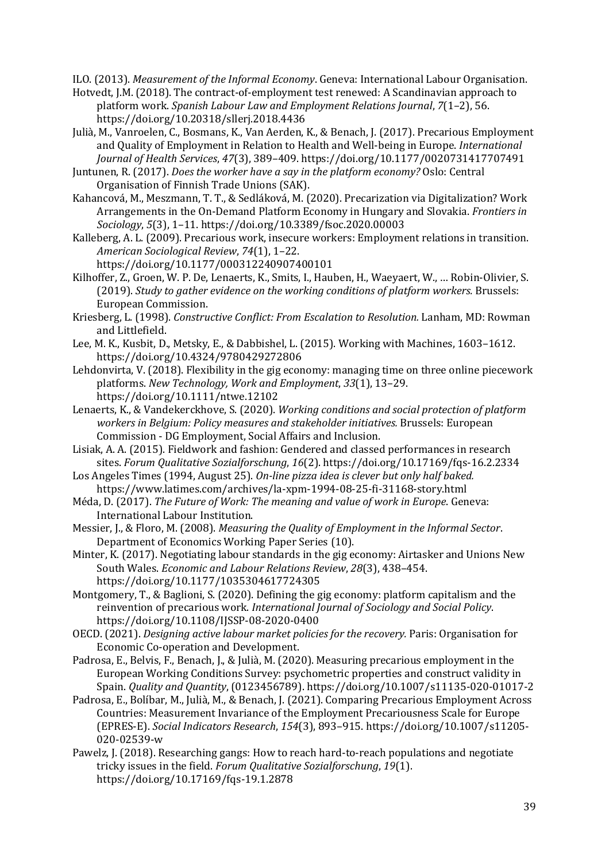ILO. (2013). *Measurement of the Informal Economy*. Geneva: International Labour Organisation.

- Hotvedt, J.M. (2018). The contract-of-employment test renewed: A Scandinavian approach to platform work. *Spanish Labour Law and Employment Relations Journal*, *7*(1–2), 56. https://doi.org/10.20318/sllerj.2018.4436
- Julià, M., Vanroelen, C., Bosmans, K., Van Aerden, K., & Benach, J. (2017). Precarious Employment and Quality of Employment in Relation to Health and Well-being in Europe. *International Journal of Health Services*, *47*(3), 389–409. https://doi.org/10.1177/0020731417707491
- Juntunen, R. (2017). *Does the worker have a say in the platform economy?* Oslo: Central Organisation of Finnish Trade Unions (SAK).
- Kahancová, M., Meszmann, T. T., & Sedláková, M. (2020). Precarization via Digitalization? Work Arrangements in the On-Demand Platform Economy in Hungary and Slovakia. *Frontiers in Sociology*, *5*(3), 1–11. https://doi.org/10.3389/fsoc.2020.00003
- Kalleberg, A. L. (2009). Precarious work, insecure workers: Employment relations in transition. *American Sociological Review*, *74*(1), 1–22.
	- https://doi.org/10.1177/000312240907400101
- Kilhoffer, Z., Groen, W. P. De, Lenaerts, K., Smits, I., Hauben, H., Waeyaert, W., … Robin-Olivier, S. (2019). *Study to gather evidence on the working conditions of platform workers.* Brussels: European Commission.
- Kriesberg, L. (1998). *Constructive Conflict: From Escalation to Resolution.* Lanham, MD: Rowman and Littlefield.
- Lee, M. K., Kusbit, D., Metsky, E., & Dabbishel, L. (2015). Working with Machines, 1603–1612. https://doi.org/10.4324/9780429272806
- Lehdonvirta, V. (2018). Flexibility in the gig economy: managing time on three online piecework platforms. *New Technology, Work and Employment*, *33*(1), 13–29. https://doi.org/10.1111/ntwe.12102
- Lenaerts, K., & Vandekerckhove, S. (2020). *Working conditions and social protection of platform workers in Belgium: Policy measures and stakeholder initiatives.* Brussels: European Commission - DG Employment, Social Affairs and Inclusion.
- Lisiak, A. A. (2015). Fieldwork and fashion: Gendered and classed performances in research sites. *Forum Qualitative Sozialforschung*, *16*(2). https://doi.org/10.17169/fqs-16.2.2334
- Los Angeles Times (1994, August 25). *On-line pizza idea is clever but only half baked.*  https://www.latimes.com/archives/la-xpm-1994-08-25-fi-31168-story.html
- Méda, D. (2017). *The Future of Work: The meaning and value of work in Europe*. Geneva: International Labour Institution.
- Messier, J., & Floro, M. (2008). *Measuring the Quality of Employment in the Informal Sector*. Department of Economics Working Paper Series (10).
- Minter, K. (2017). Negotiating labour standards in the gig economy: Airtasker and Unions New South Wales. *Economic and Labour Relations Review*, *28*(3), 438–454. https://doi.org/10.1177/1035304617724305
- Montgomery, T., & Baglioni, S. (2020). Defining the gig economy: platform capitalism and the reinvention of precarious work. *International Journal of Sociology and Social Policy*. https://doi.org/10.1108/IJSSP-08-2020-0400
- OECD. (2021). *Designing active labour market policies for the recovery.* Paris: Organisation for Economic Co-operation and Development.
- Padrosa, E., Belvis, F., Benach, J., & Julià, M. (2020). Measuring precarious employment in the European Working Conditions Survey: psychometric properties and construct validity in Spain. *Quality and Quantity*, (0123456789). https://doi.org/10.1007/s11135-020-01017-2
- Padrosa, E., Bolíbar, M., Julià, M., & Benach, J. (2021). Comparing Precarious Employment Across Countries: Measurement Invariance of the Employment Precariousness Scale for Europe (EPRES-E). *Social Indicators Research*, *154*(3), 893–915. https://doi.org/10.1007/s11205- 020-02539-w
- Pawelz, J. (2018). Researching gangs: How to reach hard-to-reach populations and negotiate tricky issues in the field. *Forum Qualitative Sozialforschung*, *19*(1). https://doi.org/10.17169/fqs-19.1.2878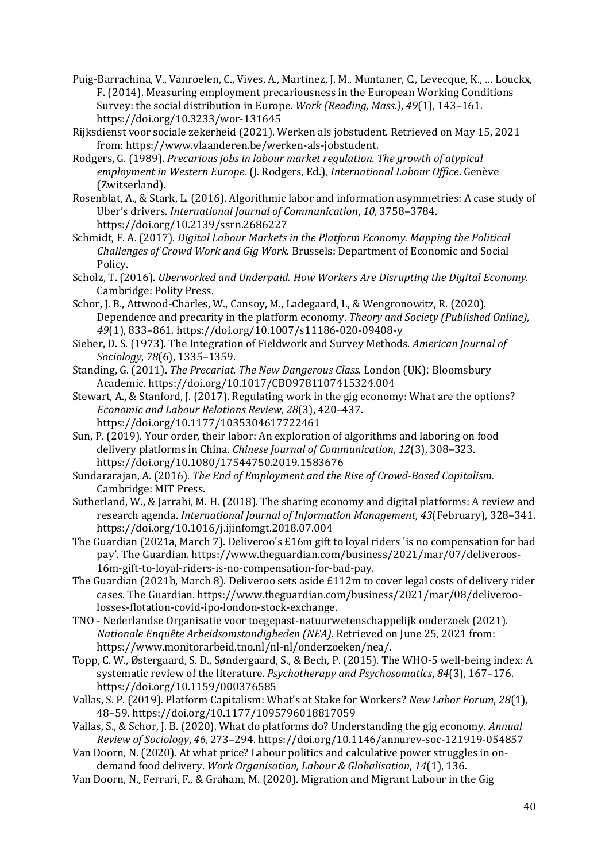- Puig-Barrachina, V., Vanroelen, C., Vives, A., Martínez, J. M., Muntaner, C., Levecque, K., … Louckx, F. (2014). Measuring employment precariousness in the European Working Conditions Survey: the social distribution in Europe. *Work (Reading, Mass.)*, *49*(1), 143–161. https://doi.org/10.3233/wor-131645
- Rijksdienst voor sociale zekerheid (2021). Werken als jobstudent. Retrieved on May 15, 2021 from: https://www.vlaanderen.be/werken-als-jobstudent.
- Rodgers, G. (1989). *Precarious jobs in labour market regulation. The growth of atypical employment in Western Europe.* (J. Rodgers, Ed.), *International Labour Office*. Genève (Zwitserland).
- Rosenblat, A., & Stark, L. (2016). Algorithmic labor and information asymmetries: A case study of Uber's drivers. *International Journal of Communication*, *10*, 3758–3784. https://doi.org/10.2139/ssrn.2686227
- Schmidt, F. A. (2017). *Digital Labour Markets in the Platform Economy. Mapping the Political Challenges of Crowd Work and Gig Work.* Brussels: Department of Economic and Social Policy.
- Scholz, T. (2016). *Uberworked and Underpaid. How Workers Are Disrupting the Digital Economy.* Cambridge: Polity Press.
- Schor, J. B., Attwood-Charles, W., Cansoy, M., Ladegaard, I., & Wengronowitz, R. (2020). Dependence and precarity in the platform economy. *Theory and Society (Published Online)*, *49*(1), 833–861. https://doi.org/10.1007/s11186-020-09408-y
- Sieber, D. S. (1973). The Integration of Fieldwork and Survey Methods. *American Journal of Sociology*, *78*(6), 1335–1359.
- Standing, G. (2011). *The Precariat. The New Dangerous Class.* London (UK): Bloomsbury Academic. https://doi.org/10.1017/CBO9781107415324.004
- Stewart, A., & Stanford, J. (2017). Regulating work in the gig economy: What are the options? *Economic and Labour Relations Review*, *28*(3), 420–437. https://doi.org/10.1177/1035304617722461
- Sun, P. (2019). Your order, their labor: An exploration of algorithms and laboring on food delivery platforms in China. *Chinese Journal of Communication*, *12*(3), 308–323. https://doi.org/10.1080/17544750.2019.1583676
- Sundararajan, A. (2016). *The End of Employment and the Rise of Crowd-Based Capitalism.* Cambridge: MIT Press.
- Sutherland, W., & Jarrahi, M. H. (2018). The sharing economy and digital platforms: A review and research agenda. *International Journal of Information Management*, *43*(February), 328–341. https://doi.org/10.1016/j.ijinfomgt.2018.07.004
- The Guardian (2021a, March 7). Deliveroo's £16m gift to loyal riders 'is no compensation for bad pay'. The Guardian. https://www.theguardian.com/business/2021/mar/07/deliveroos-16m-gift-to-loyal-riders-is-no-compensation-for-bad-pay.
- The Guardian (2021b, March 8). Deliveroo sets aside £112m to cover legal costs of delivery rider cases. The Guardian. https://www.theguardian.com/business/2021/mar/08/deliveroolosses-flotation-covid-ipo-london-stock-exchange.
- TNO Nederlandse Organisatie voor toegepast-natuurwetenschappelijk onderzoek (2021). *Nationale Enquête Arbeidsomstandigheden (NEA).* Retrieved on June 25, 2021 from: https://www.monitorarbeid.tno.nl/nl-nl/onderzoeken/nea/.
- Topp, C. W., Østergaard, S. D., Søndergaard, S., & Bech, P. (2015). The WHO-5 well-being index: A systematic review of the literature. *Psychotherapy and Psychosomatics*, *84*(3), 167–176. https://doi.org/10.1159/000376585
- Vallas, S. P. (2019). Platform Capitalism: What's at Stake for Workers? *New Labor Forum*, *28*(1), 48–59. https://doi.org/10.1177/1095796018817059
- Vallas, S., & Schor, J. B. (2020). What do platforms do? Understanding the gig economy. *Annual Review of Sociology*, *46*, 273–294. https://doi.org/10.1146/annurev-soc-121919-054857
- Van Doorn, N. (2020). At what price? Labour politics and calculative power struggles in ondemand food delivery. *Work Organisation, Labour & Globalisation*, *14*(1), 136.
- Van Doorn, N., Ferrari, F., & Graham, M. (2020). Migration and Migrant Labour in the Gig